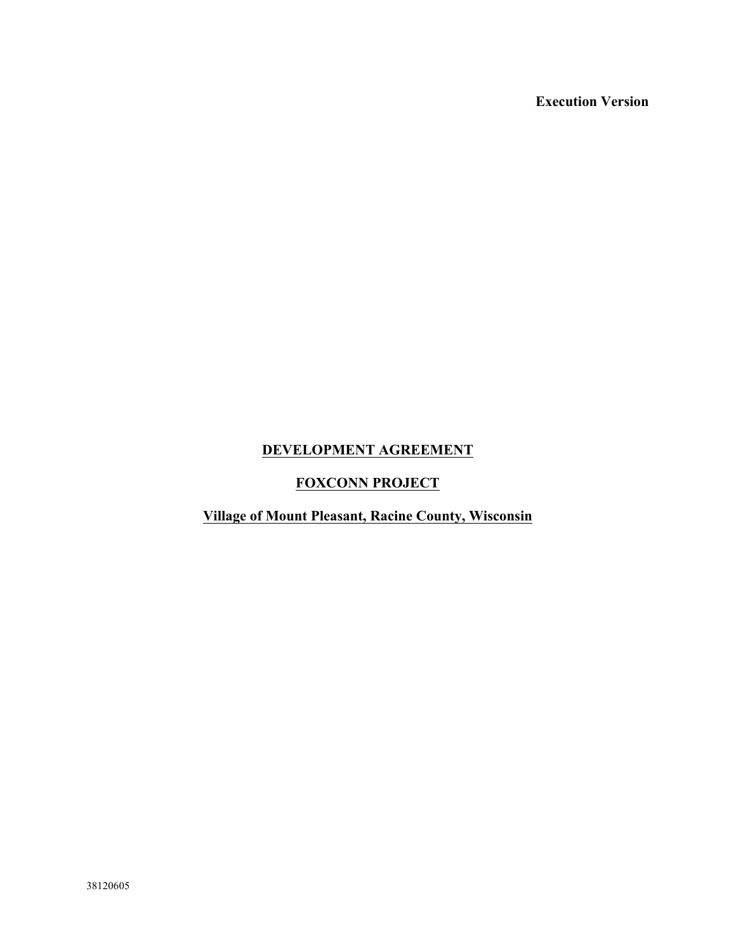**Execution Version**

## **DEVELOPMENT AGREEMENT**

## **FOXCONN PROJECT**

## **Village of Mount Pleasant, Racine County, Wisconsin**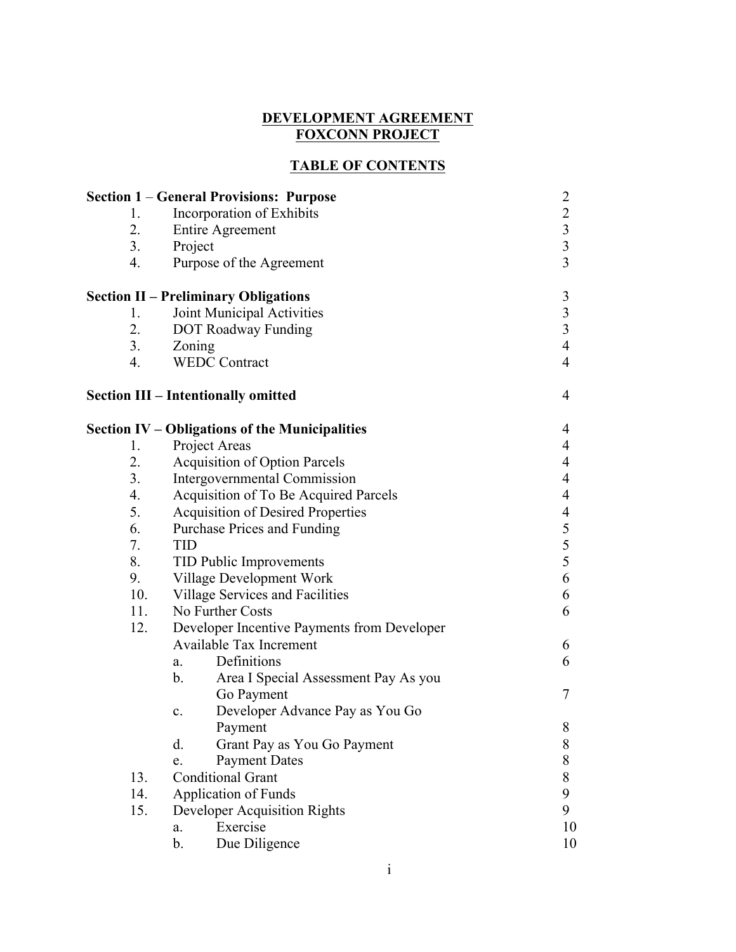#### **DEVELOPMENT AGREEMENT FOXCONN PROJECT**

## **TABLE OF CONTENTS**

|     | <b>Section 1 – General Provisions: Purpose</b>        | $\overline{2}$                             |
|-----|-------------------------------------------------------|--------------------------------------------|
| 1.  | Incorporation of Exhibits                             | $\overline{c}$                             |
| 2.  | Entire Agreement                                      | $\overline{\mathbf{3}}$                    |
| 3.  | Project                                               | $\overline{\mathbf{3}}$                    |
| 4.  | Purpose of the Agreement                              | $\overline{3}$                             |
|     | <b>Section II – Preliminary Obligations</b>           | 3                                          |
| 1.  | Joint Municipal Activities                            | $\frac{3}{3}$                              |
| 2.  | <b>DOT Roadway Funding</b>                            |                                            |
| 3.  | Zoning                                                | $\overline{4}$                             |
| 4.  | <b>WEDC Contract</b>                                  | $\overline{4}$                             |
|     | <b>Section III – Intentionally omitted</b>            | $\overline{4}$                             |
|     | <b>Section IV – Obligations of the Municipalities</b> | 4                                          |
| 1.  | Project Areas                                         | $\overline{4}$                             |
| 2.  | <b>Acquisition of Option Parcels</b>                  | $\overline{4}$                             |
| 3.  | Intergovernmental Commission                          | $\overline{4}$                             |
| 4.  | Acquisition of To Be Acquired Parcels                 | $\overline{4}$                             |
| 5.  | <b>Acquisition of Desired Properties</b>              | 4                                          |
| 6.  | Purchase Prices and Funding                           |                                            |
| 7.  | <b>TID</b>                                            | $\begin{array}{c} 5 \\ 5 \\ 5 \end{array}$ |
| 8.  | <b>TID Public Improvements</b>                        |                                            |
| 9.  | Village Development Work                              | 6                                          |
| 10. | Village Services and Facilities                       | 6                                          |
| 11. | No Further Costs                                      |                                            |
| 12. | Developer Incentive Payments from Developer           |                                            |
|     | <b>Available Tax Increment</b>                        | 6                                          |
|     | Definitions<br>a.                                     | 6                                          |
|     | $\mathbf b$ .<br>Area I Special Assessment Pay As you |                                            |
|     | Go Payment                                            | 7                                          |
|     | Developer Advance Pay as You Go<br>$\mathbf{c}$ .     |                                            |
|     | Payment                                               | 8                                          |
|     | d.<br>Grant Pay as You Go Payment                     | 8                                          |
|     | <b>Payment Dates</b><br>e.                            | 8                                          |
| 13. | <b>Conditional Grant</b>                              | 8                                          |
| 14. | <b>Application of Funds</b>                           | 9                                          |
| 15. | <b>Developer Acquisition Rights</b>                   | 9                                          |
|     | Exercise<br>a.                                        | 10                                         |
|     | Due Diligence<br>b.                                   | 10                                         |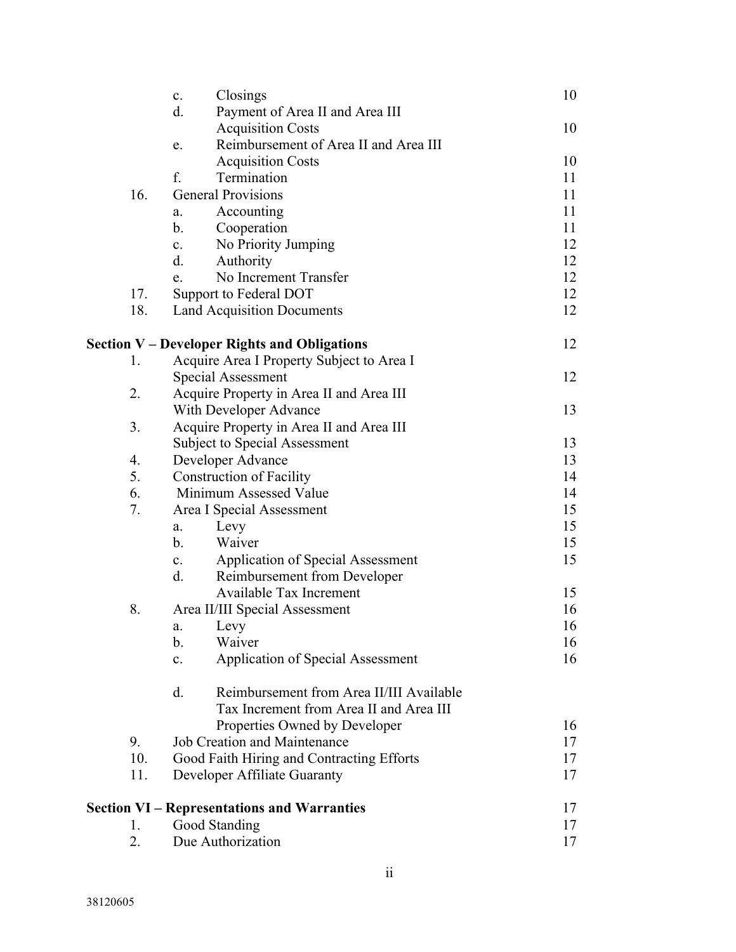|     | $\mathbf{c}$ . | Closings                                            | 10 |
|-----|----------------|-----------------------------------------------------|----|
|     | d.             | Payment of Area II and Area III                     |    |
|     |                | <b>Acquisition Costs</b>                            | 10 |
|     | e.             | Reimbursement of Area II and Area III               |    |
|     |                | <b>Acquisition Costs</b>                            | 10 |
|     | f.             | Termination                                         | 11 |
| 16. |                | <b>General Provisions</b>                           | 11 |
|     | a.             | Accounting                                          | 11 |
|     | b.             | Cooperation                                         | 11 |
|     | $\mathbf{c}$ . | No Priority Jumping                                 | 12 |
|     | d.             | Authority                                           | 12 |
|     | e.             | No Increment Transfer                               | 12 |
| 17. |                | Support to Federal DOT                              | 12 |
| 18. |                | <b>Land Acquisition Documents</b>                   | 12 |
|     |                |                                                     |    |
|     |                | <b>Section V – Developer Rights and Obligations</b> | 12 |
| 1.  |                | Acquire Area I Property Subject to Area I           |    |
|     |                | Special Assessment                                  | 12 |
| 2.  |                | Acquire Property in Area II and Area III            |    |
|     |                | With Developer Advance                              | 13 |
| 3.  |                | Acquire Property in Area II and Area III            |    |
|     |                | <b>Subject to Special Assessment</b>                | 13 |
| 4.  |                | Developer Advance                                   | 13 |
| 5.  |                | <b>Construction of Facility</b>                     | 14 |
| 6.  |                | Minimum Assessed Value                              | 14 |
| 7.  |                | Area I Special Assessment                           | 15 |
|     | a.             | Levy                                                | 15 |
|     | $b_{\cdot}$    | Waiver                                              | 15 |
|     | $\mathbf{c}$ . | Application of Special Assessment                   | 15 |
|     | d.             | Reimbursement from Developer                        |    |
|     |                | <b>Available Tax Increment</b>                      | 15 |
| 8.  |                | Area II/III Special Assessment                      | 16 |
|     | a.             | Levy                                                | 16 |
|     | b.             | Waiver                                              | 16 |
|     | $\mathbf{c}$ . | <b>Application of Special Assessment</b>            | 16 |
|     | d.             | Reimbursement from Area II/III Available            |    |
|     |                | Tax Increment from Area II and Area III             |    |
|     |                | Properties Owned by Developer                       | 16 |
| 9.  |                | <b>Job Creation and Maintenance</b>                 | 17 |
| 10. |                | Good Faith Hiring and Contracting Efforts           | 17 |
| 11. |                | Developer Affiliate Guaranty                        | 17 |
|     |                | <b>Section VI – Representations and Warranties</b>  | 17 |
| 1.  |                | Good Standing                                       | 17 |
| 2.  |                | Due Authorization                                   | 17 |
|     |                |                                                     |    |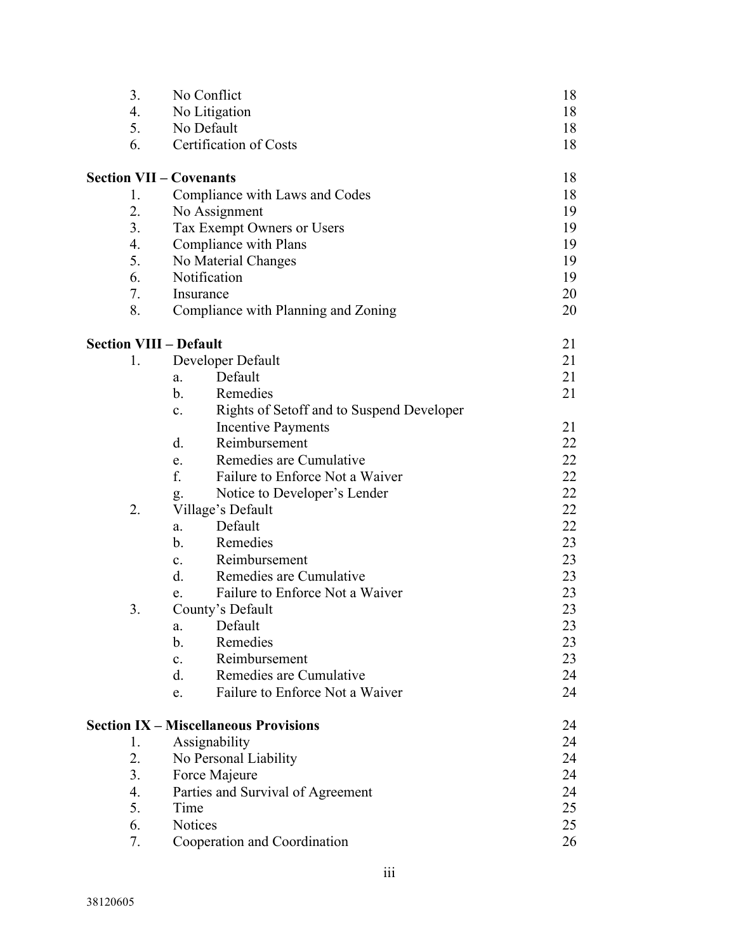| 3.             | No Conflict                                                 | 18 |
|----------------|-------------------------------------------------------------|----|
| 4.             | No Litigation                                               | 18 |
| 5.             | No Default                                                  | 18 |
| 6.             | Certification of Costs                                      | 18 |
|                | <b>Section VII - Covenants</b>                              | 18 |
| 1.             | Compliance with Laws and Codes                              | 18 |
| 2.             | No Assignment                                               | 19 |
| 3 <sub>1</sub> | Tax Exempt Owners or Users                                  | 19 |
| 4.             | Compliance with Plans                                       | 19 |
| 5.             | No Material Changes                                         | 19 |
| 6.             | Notification                                                | 19 |
| 7.             | Insurance                                                   | 20 |
| 8.             | Compliance with Planning and Zoning                         | 20 |
|                | <b>Section VIII - Default</b>                               | 21 |
| 1.             | Developer Default                                           | 21 |
|                | Default<br>a.                                               | 21 |
|                | Remedies<br>$b_{\cdot}$                                     | 21 |
|                | Rights of Setoff and to Suspend Developer<br>$\mathbf{c}$ . |    |
|                | <b>Incentive Payments</b>                                   | 21 |
|                | $\mathbf{d}$ .<br>Reimbursement                             | 22 |
|                | Remedies are Cumulative<br>e.                               | 22 |
|                | f.<br>Failure to Enforce Not a Waiver                       | 22 |
|                | Notice to Developer's Lender<br>g.                          | 22 |
| 2.             | Village's Default                                           | 22 |
|                | Default<br>a.                                               | 22 |
|                | Remedies<br>$b_{\cdot}$                                     | 23 |
|                | Reimbursement<br>$c_{\cdot}$                                | 23 |
|                | $d$ .<br>Remedies are Cumulative                            | 23 |
|                | Failure to Enforce Not a Waiver<br>e.                       | 23 |
| 3.             | County's Default                                            | 23 |
|                | Default<br>a.                                               | 23 |
|                | Remedies<br>b.                                              | 23 |
|                | Reimbursement<br>$\mathbf{c}$ .                             | 23 |
|                | Remedies are Cumulative<br>$d_{\cdot}$                      | 24 |
|                | Failure to Enforce Not a Waiver<br>e.                       | 24 |
|                | <b>Section IX - Miscellaneous Provisions</b>                | 24 |
| 1.             | Assignability                                               | 24 |
| 2.             | No Personal Liability                                       | 24 |
| 3 <sub>1</sub> | Force Majeure                                               | 24 |
| 4.             | Parties and Survival of Agreement                           | 24 |
| 5.             | Time                                                        | 25 |
| 6.             | Notices                                                     | 25 |
| 7.             | Cooperation and Coordination                                | 26 |
|                |                                                             |    |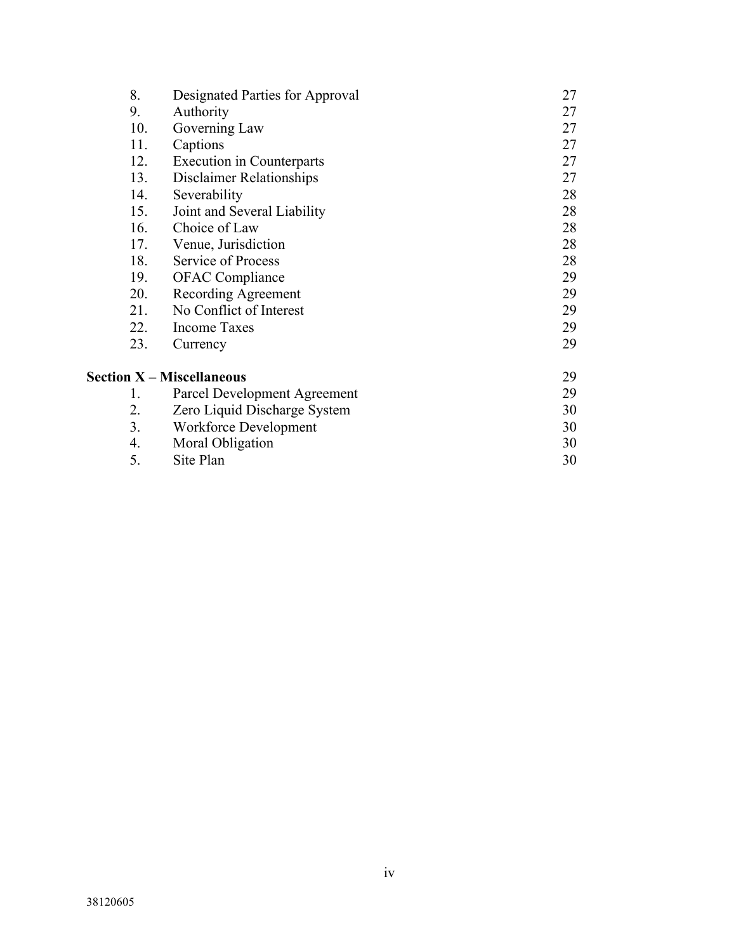| 8.             | Designated Parties for Approval  | 27 |
|----------------|----------------------------------|----|
| 9.             | Authority                        | 27 |
| 10.            | Governing Law                    | 27 |
| 11.            | Captions                         | 27 |
| 12.            | <b>Execution</b> in Counterparts | 27 |
| 13.            | <b>Disclaimer Relationships</b>  | 27 |
| 14.            | Severability                     | 28 |
| 15.            | Joint and Several Liability      | 28 |
| 16.            | Choice of Law                    | 28 |
| 17.            | Venue, Jurisdiction              | 28 |
| 18.            | Service of Process               | 28 |
| 19.            | <b>OFAC</b> Compliance           | 29 |
| 20.            | Recording Agreement              | 29 |
| 21.            | No Conflict of Interest          | 29 |
| 22.            | <b>Income Taxes</b>              | 29 |
| 23.            | Currency                         | 29 |
|                | <b>Section X - Miscellaneous</b> | 29 |
| 1.             | Parcel Development Agreement     | 29 |
| 2.             | Zero Liquid Discharge System     | 30 |
| 3 <sub>1</sub> | Workforce Development            | 30 |
| 4.             | Moral Obligation                 | 30 |
| 5.             | Site Plan                        | 30 |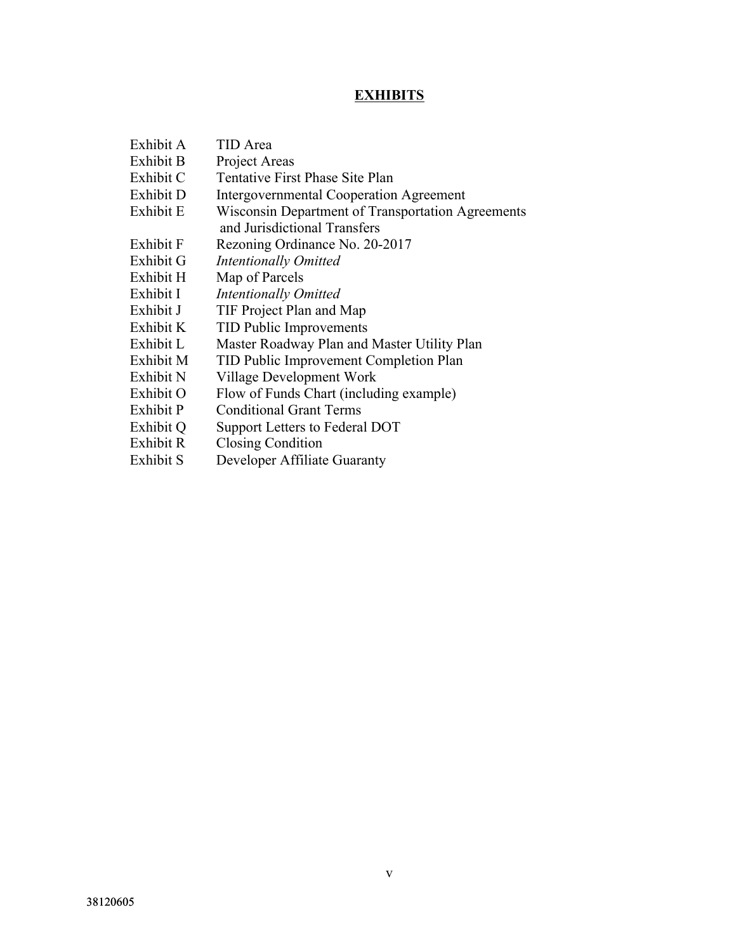# **EXHIBITS**

| Exhibit A | <b>TID</b> Area                                   |
|-----------|---------------------------------------------------|
| Exhibit B | Project Areas                                     |
| Exhibit C | Tentative First Phase Site Plan                   |
| Exhibit D | <b>Intergovernmental Cooperation Agreement</b>    |
| Exhibit E | Wisconsin Department of Transportation Agreements |
|           | and Jurisdictional Transfers                      |
| Exhibit F | Rezoning Ordinance No. 20-2017                    |
| Exhibit G | <b>Intentionally Omitted</b>                      |
| Exhibit H | Map of Parcels                                    |
| Exhibit I | <b>Intentionally Omitted</b>                      |
| Exhibit J | TIF Project Plan and Map                          |
| Exhibit K | <b>TID Public Improvements</b>                    |
| Exhibit L | Master Roadway Plan and Master Utility Plan       |
| Exhibit M | TID Public Improvement Completion Plan            |
| Exhibit N | Village Development Work                          |
| Exhibit O | Flow of Funds Chart (including example)           |
| Exhibit P | <b>Conditional Grant Terms</b>                    |
| Exhibit Q | Support Letters to Federal DOT                    |
| Exhibit R | <b>Closing Condition</b>                          |
| Exhibit S | Developer Affiliate Guaranty                      |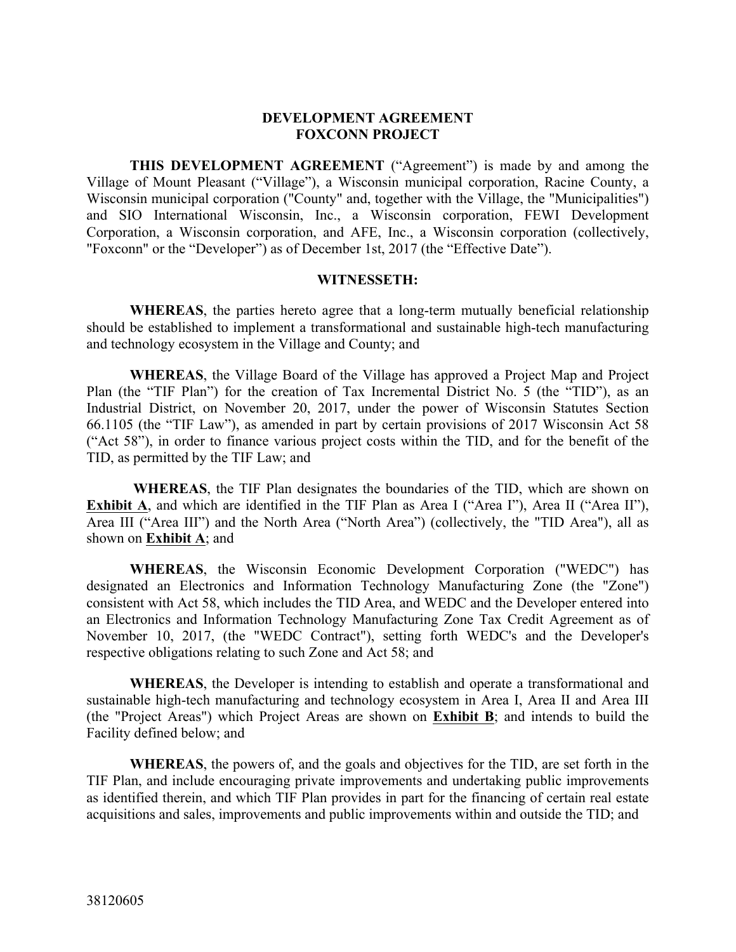#### **DEVELOPMENT AGREEMENT FOXCONN PROJECT**

**THIS DEVELOPMENT AGREEMENT** ("Agreement") is made by and among the Village of Mount Pleasant ("Village"), a Wisconsin municipal corporation, Racine County, a Wisconsin municipal corporation ("County" and, together with the Village, the "Municipalities") and SIO International Wisconsin, Inc., a Wisconsin corporation, FEWI Development Corporation, a Wisconsin corporation, and AFE, Inc., a Wisconsin corporation (collectively, "Foxconn" or the "Developer") as of December 1st, 2017 (the "Effective Date").

#### **WITNESSETH:**

**WHEREAS**, the parties hereto agree that a long-term mutually beneficial relationship should be established to implement a transformational and sustainable high-tech manufacturing and technology ecosystem in the Village and County; and

**WHEREAS**, the Village Board of the Village has approved a Project Map and Project Plan (the "TIF Plan") for the creation of Tax Incremental District No. 5 (the "TID"), as an Industrial District, on November 20, 2017, under the power of Wisconsin Statutes Section 66.1105 (the "TIF Law"), as amended in part by certain provisions of 2017 Wisconsin Act 58 ("Act 58"), in order to finance various project costs within the TID, and for the benefit of the TID, as permitted by the TIF Law; and

**WHEREAS**, the TIF Plan designates the boundaries of the TID, which are shown on **Exhibit A**, and which are identified in the TIF Plan as Area I ("Area I"), Area II ("Area II"), Area III ("Area III") and the North Area ("North Area") (collectively, the "TID Area"), all as shown on **Exhibit A**; and

**WHEREAS**, the Wisconsin Economic Development Corporation ("WEDC") has designated an Electronics and Information Technology Manufacturing Zone (the "Zone") consistent with Act 58, which includes the TID Area, and WEDC and the Developer entered into an Electronics and Information Technology Manufacturing Zone Tax Credit Agreement as of November 10, 2017, (the "WEDC Contract"), setting forth WEDC's and the Developer's respective obligations relating to such Zone and Act 58; and

**WHEREAS**, the Developer is intending to establish and operate a transformational and sustainable high-tech manufacturing and technology ecosystem in Area I, Area II and Area III (the "Project Areas") which Project Areas are shown on **Exhibit B**; and intends to build the Facility defined below; and

**WHEREAS**, the powers of, and the goals and objectives for the TID, are set forth in the TIF Plan, and include encouraging private improvements and undertaking public improvements as identified therein, and which TIF Plan provides in part for the financing of certain real estate acquisitions and sales, improvements and public improvements within and outside the TID; and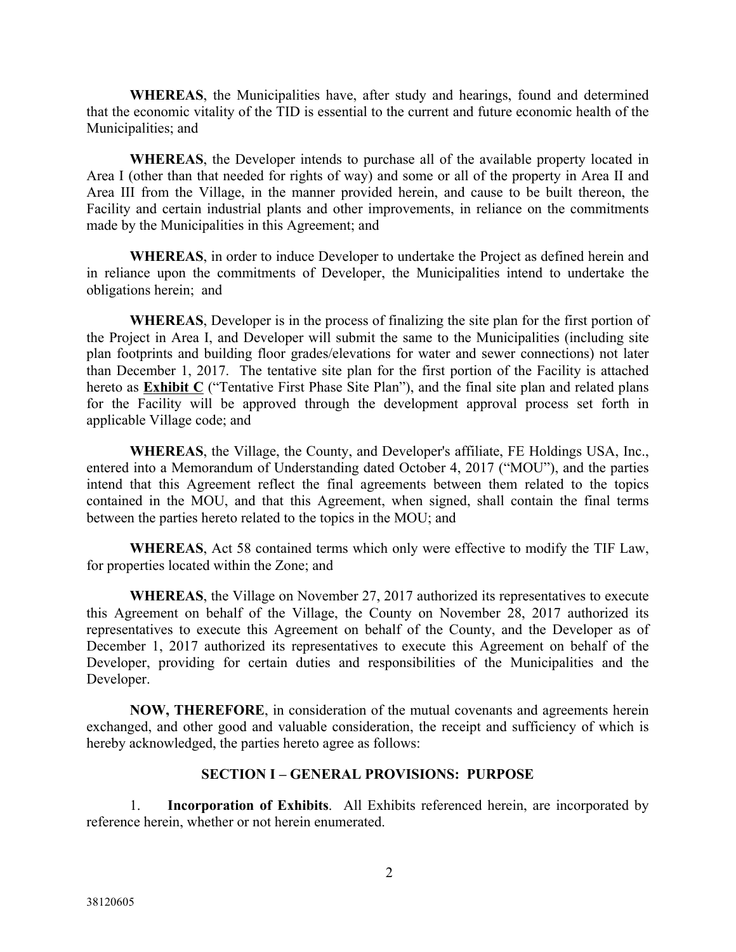**WHEREAS**, the Municipalities have, after study and hearings, found and determined that the economic vitality of the TID is essential to the current and future economic health of the Municipalities; and

**WHEREAS**, the Developer intends to purchase all of the available property located in Area I (other than that needed for rights of way) and some or all of the property in Area II and Area III from the Village, in the manner provided herein, and cause to be built thereon, the Facility and certain industrial plants and other improvements, in reliance on the commitments made by the Municipalities in this Agreement; and

**WHEREAS**, in order to induce Developer to undertake the Project as defined herein and in reliance upon the commitments of Developer, the Municipalities intend to undertake the obligations herein; and

**WHEREAS**, Developer is in the process of finalizing the site plan for the first portion of the Project in Area I, and Developer will submit the same to the Municipalities (including site plan footprints and building floor grades/elevations for water and sewer connections) not later than December 1, 2017. The tentative site plan for the first portion of the Facility is attached hereto as **Exhibit C** ("Tentative First Phase Site Plan"), and the final site plan and related plans for the Facility will be approved through the development approval process set forth in applicable Village code; and

**WHEREAS**, the Village, the County, and Developer's affiliate, FE Holdings USA, Inc., entered into a Memorandum of Understanding dated October 4, 2017 ("MOU"), and the parties intend that this Agreement reflect the final agreements between them related to the topics contained in the MOU, and that this Agreement, when signed, shall contain the final terms between the parties hereto related to the topics in the MOU; and

**WHEREAS**, Act 58 contained terms which only were effective to modify the TIF Law, for properties located within the Zone; and

**WHEREAS**, the Village on November 27, 2017 authorized its representatives to execute this Agreement on behalf of the Village, the County on November 28, 2017 authorized its representatives to execute this Agreement on behalf of the County, and the Developer as of December 1, 2017 authorized its representatives to execute this Agreement on behalf of the Developer, providing for certain duties and responsibilities of the Municipalities and the Developer.

**NOW, THEREFORE**, in consideration of the mutual covenants and agreements herein exchanged, and other good and valuable consideration, the receipt and sufficiency of which is hereby acknowledged, the parties hereto agree as follows:

### **SECTION I – GENERAL PROVISIONS: PURPOSE**

1. **Incorporation of Exhibits**. All Exhibits referenced herein, are incorporated by reference herein, whether or not herein enumerated.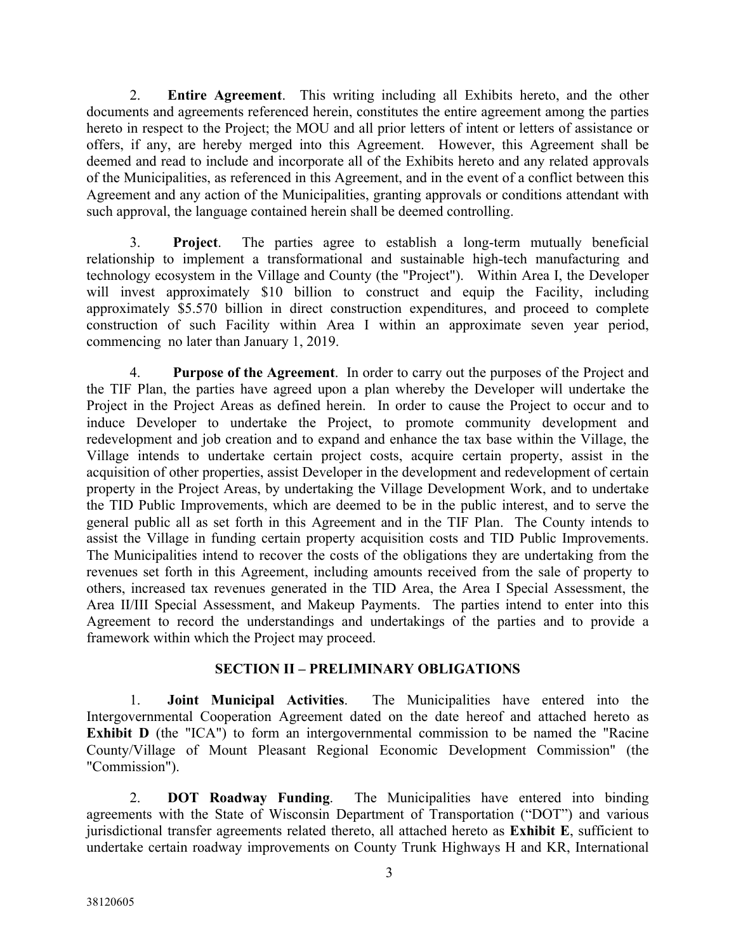2. **Entire Agreement**. This writing including all Exhibits hereto, and the other documents and agreements referenced herein, constitutes the entire agreement among the parties hereto in respect to the Project; the MOU and all prior letters of intent or letters of assistance or offers, if any, are hereby merged into this Agreement. However, this Agreement shall be deemed and read to include and incorporate all of the Exhibits hereto and any related approvals of the Municipalities, as referenced in this Agreement, and in the event of a conflict between this Agreement and any action of the Municipalities, granting approvals or conditions attendant with such approval, the language contained herein shall be deemed controlling.

3. **Project**. The parties agree to establish a long-term mutually beneficial relationship to implement a transformational and sustainable high-tech manufacturing and technology ecosystem in the Village and County (the "Project"). Within Area I, the Developer will invest approximately \$10 billion to construct and equip the Facility, including approximately \$5.570 billion in direct construction expenditures, and proceed to complete construction of such Facility within Area I within an approximate seven year period, commencing no later than January 1, 2019.

4. **Purpose of the Agreement**. In order to carry out the purposes of the Project and the TIF Plan, the parties have agreed upon a plan whereby the Developer will undertake the Project in the Project Areas as defined herein. In order to cause the Project to occur and to induce Developer to undertake the Project, to promote community development and redevelopment and job creation and to expand and enhance the tax base within the Village, the Village intends to undertake certain project costs, acquire certain property, assist in the acquisition of other properties, assist Developer in the development and redevelopment of certain property in the Project Areas, by undertaking the Village Development Work, and to undertake the TID Public Improvements, which are deemed to be in the public interest, and to serve the general public all as set forth in this Agreement and in the TIF Plan. The County intends to assist the Village in funding certain property acquisition costs and TID Public Improvements. The Municipalities intend to recover the costs of the obligations they are undertaking from the revenues set forth in this Agreement, including amounts received from the sale of property to others, increased tax revenues generated in the TID Area, the Area I Special Assessment, the Area II/III Special Assessment, and Makeup Payments. The parties intend to enter into this Agreement to record the understandings and undertakings of the parties and to provide a framework within which the Project may proceed.

#### **SECTION II – PRELIMINARY OBLIGATIONS**

1. **Joint Municipal Activities**. The Municipalities have entered into the Intergovernmental Cooperation Agreement dated on the date hereof and attached hereto as **Exhibit D** (the "ICA") to form an intergovernmental commission to be named the "Racine" County/Village of Mount Pleasant Regional Economic Development Commission" (the "Commission").

2. **DOT Roadway Funding**. The Municipalities have entered into binding agreements with the State of Wisconsin Department of Transportation ("DOT") and various jurisdictional transfer agreements related thereto, all attached hereto as **Exhibit E**, sufficient to undertake certain roadway improvements on County Trunk Highways H and KR, International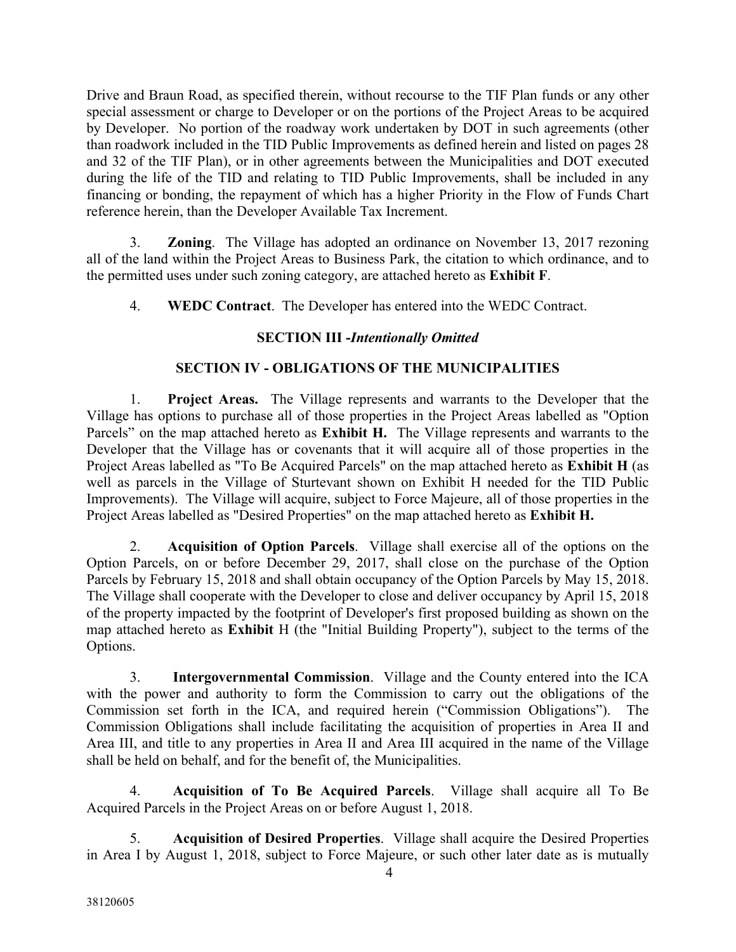Drive and Braun Road, as specified therein, without recourse to the TIF Plan funds or any other special assessment or charge to Developer or on the portions of the Project Areas to be acquired by Developer. No portion of the roadway work undertaken by DOT in such agreements (other than roadwork included in the TID Public Improvements as defined herein and listed on pages 28 and 32 of the TIF Plan), or in other agreements between the Municipalities and DOT executed during the life of the TID and relating to TID Public Improvements, shall be included in any financing or bonding, the repayment of which has a higher Priority in the Flow of Funds Chart reference herein, than the Developer Available Tax Increment.

3. **Zoning**. The Village has adopted an ordinance on November 13, 2017 rezoning all of the land within the Project Areas to Business Park, the citation to which ordinance, and to the permitted uses under such zoning category, are attached hereto as **Exhibit F**.

4. **WEDC Contract**. The Developer has entered into the WEDC Contract.

## **SECTION III -***Intentionally Omitted*

## **SECTION IV - OBLIGATIONS OF THE MUNICIPALITIES**

1. **Project Areas.** The Village represents and warrants to the Developer that the Village has options to purchase all of those properties in the Project Areas labelled as "Option Parcels" on the map attached hereto as **Exhibit H.** The Village represents and warrants to the Developer that the Village has or covenants that it will acquire all of those properties in the Project Areas labelled as "To Be Acquired Parcels" on the map attached hereto as **Exhibit H** (as well as parcels in the Village of Sturtevant shown on Exhibit H needed for the TID Public Improvements). The Village will acquire, subject to Force Majeure, all of those properties in the Project Areas labelled as "Desired Properties" on the map attached hereto as **Exhibit H.**

2. **Acquisition of Option Parcels**. Village shall exercise all of the options on the Option Parcels, on or before December 29, 2017, shall close on the purchase of the Option Parcels by February 15, 2018 and shall obtain occupancy of the Option Parcels by May 15, 2018. The Village shall cooperate with the Developer to close and deliver occupancy by April 15, 2018 of the property impacted by the footprint of Developer's first proposed building as shown on the map attached hereto as **Exhibit** H (the "Initial Building Property"), subject to the terms of the Options.

3. **Intergovernmental Commission**. Village and the County entered into the ICA with the power and authority to form the Commission to carry out the obligations of the Commission set forth in the ICA, and required herein ("Commission Obligations"). The Commission Obligations shall include facilitating the acquisition of properties in Area II and Area III, and title to any properties in Area II and Area III acquired in the name of the Village shall be held on behalf, and for the benefit of, the Municipalities.

4. **Acquisition of To Be Acquired Parcels**. Village shall acquire all To Be Acquired Parcels in the Project Areas on or before August 1, 2018.

5. **Acquisition of Desired Properties**. Village shall acquire the Desired Properties in Area I by August 1, 2018, subject to Force Majeure, or such other later date as is mutually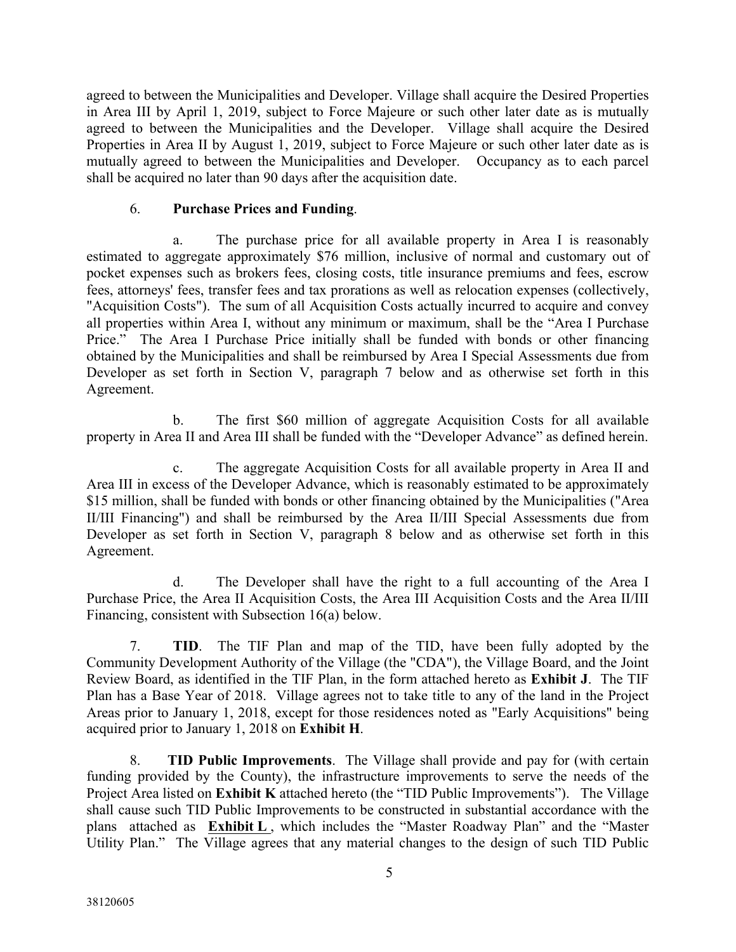agreed to between the Municipalities and Developer. Village shall acquire the Desired Properties in Area III by April 1, 2019, subject to Force Majeure or such other later date as is mutually agreed to between the Municipalities and the Developer. Village shall acquire the Desired Properties in Area II by August 1, 2019, subject to Force Majeure or such other later date as is mutually agreed to between the Municipalities and Developer. Occupancy as to each parcel shall be acquired no later than 90 days after the acquisition date.

### 6. **Purchase Prices and Funding**.

a. The purchase price for all available property in Area I is reasonably estimated to aggregate approximately \$76 million, inclusive of normal and customary out of pocket expenses such as brokers fees, closing costs, title insurance premiums and fees, escrow fees, attorneys' fees, transfer fees and tax prorations as well as relocation expenses (collectively, "Acquisition Costs"). The sum of all Acquisition Costs actually incurred to acquire and convey all properties within Area I, without any minimum or maximum, shall be the "Area I Purchase Price." The Area I Purchase Price initially shall be funded with bonds or other financing obtained by the Municipalities and shall be reimbursed by Area I Special Assessments due from Developer as set forth in Section V, paragraph 7 below and as otherwise set forth in this Agreement.

b. The first \$60 million of aggregate Acquisition Costs for all available property in Area II and Area III shall be funded with the "Developer Advance" as defined herein.

c. The aggregate Acquisition Costs for all available property in Area II and Area III in excess of the Developer Advance, which is reasonably estimated to be approximately \$15 million, shall be funded with bonds or other financing obtained by the Municipalities ("Area II/III Financing") and shall be reimbursed by the Area II/III Special Assessments due from Developer as set forth in Section V, paragraph 8 below and as otherwise set forth in this Agreement.

d. The Developer shall have the right to a full accounting of the Area I Purchase Price, the Area II Acquisition Costs, the Area III Acquisition Costs and the Area II/III Financing, consistent with Subsection 16(a) below.

7. **TID**. The TIF Plan and map of the TID, have been fully adopted by the Community Development Authority of the Village (the "CDA"), the Village Board, and the Joint Review Board, as identified in the TIF Plan, in the form attached hereto as **Exhibit J**. The TIF Plan has a Base Year of 2018. Village agrees not to take title to any of the land in the Project Areas prior to January 1, 2018, except for those residences noted as "Early Acquisitions" being acquired prior to January 1, 2018 on **Exhibit H**.

8. **TID Public Improvements**. The Village shall provide and pay for (with certain funding provided by the County), the infrastructure improvements to serve the needs of the Project Area listed on **Exhibit K** attached hereto (the "TID Public Improvements"). The Village shall cause such TID Public Improvements to be constructed in substantial accordance with the plans attached as **Exhibit L** , which includes the "Master Roadway Plan" and the "Master Utility Plan." The Village agrees that any material changes to the design of such TID Public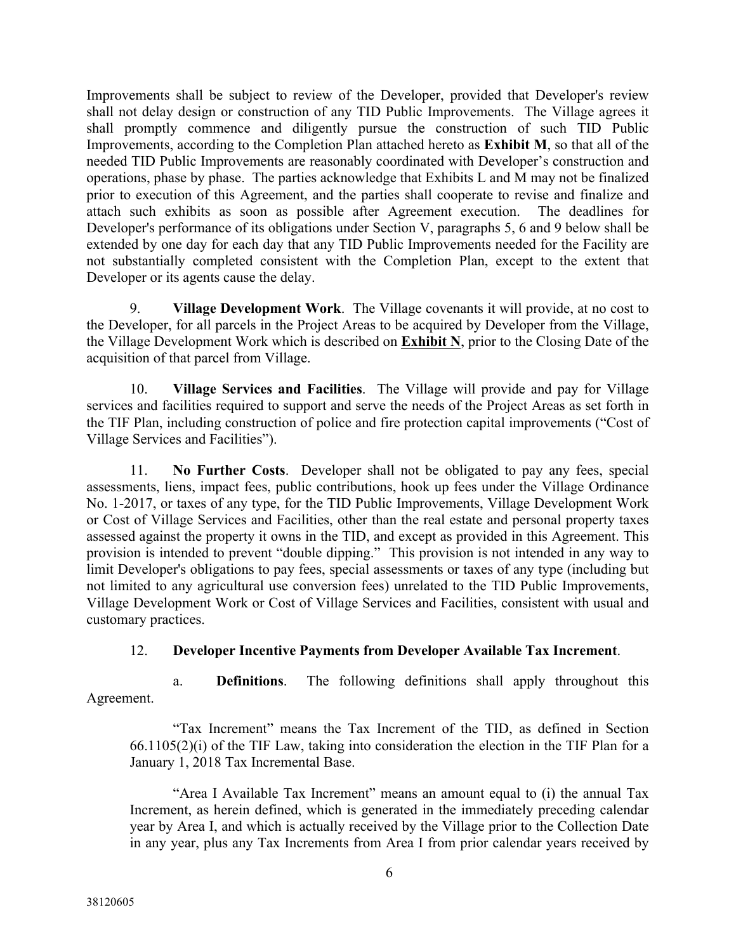Improvements shall be subject to review of the Developer, provided that Developer's review shall not delay design or construction of any TID Public Improvements. The Village agrees it shall promptly commence and diligently pursue the construction of such TID Public Improvements, according to the Completion Plan attached hereto as **Exhibit M**, so that all of the needed TID Public Improvements are reasonably coordinated with Developer's construction and operations, phase by phase. The parties acknowledge that Exhibits L and M may not be finalized prior to execution of this Agreement, and the parties shall cooperate to revise and finalize and attach such exhibits as soon as possible after Agreement execution. The deadlines for Developer's performance of its obligations under Section V, paragraphs 5, 6 and 9 below shall be extended by one day for each day that any TID Public Improvements needed for the Facility are not substantially completed consistent with the Completion Plan, except to the extent that Developer or its agents cause the delay.

9. **Village Development Work**. The Village covenants it will provide, at no cost to the Developer, for all parcels in the Project Areas to be acquired by Developer from the Village, the Village Development Work which is described on **Exhibit N**, prior to the Closing Date of the acquisition of that parcel from Village.

10. **Village Services and Facilities**. The Village will provide and pay for Village services and facilities required to support and serve the needs of the Project Areas as set forth in the TIF Plan, including construction of police and fire protection capital improvements ("Cost of Village Services and Facilities").

11. **No Further Costs**. Developer shall not be obligated to pay any fees, special assessments, liens, impact fees, public contributions, hook up fees under the Village Ordinance No. 1-2017, or taxes of any type, for the TID Public Improvements, Village Development Work or Cost of Village Services and Facilities, other than the real estate and personal property taxes assessed against the property it owns in the TID, and except as provided in this Agreement. This provision is intended to prevent "double dipping." This provision is not intended in any way to limit Developer's obligations to pay fees, special assessments or taxes of any type (including but not limited to any agricultural use conversion fees) unrelated to the TID Public Improvements, Village Development Work or Cost of Village Services and Facilities, consistent with usual and customary practices.

## 12. **Developer Incentive Payments from Developer Available Tax Increment**.

a. **Definitions**. The following definitions shall apply throughout this Agreement.

"Tax Increment" means the Tax Increment of the TID, as defined in Section 66.1105(2)(i) of the TIF Law, taking into consideration the election in the TIF Plan for a January 1, 2018 Tax Incremental Base.

"Area I Available Tax Increment" means an amount equal to (i) the annual Tax Increment, as herein defined, which is generated in the immediately preceding calendar year by Area I, and which is actually received by the Village prior to the Collection Date in any year, plus any Tax Increments from Area I from prior calendar years received by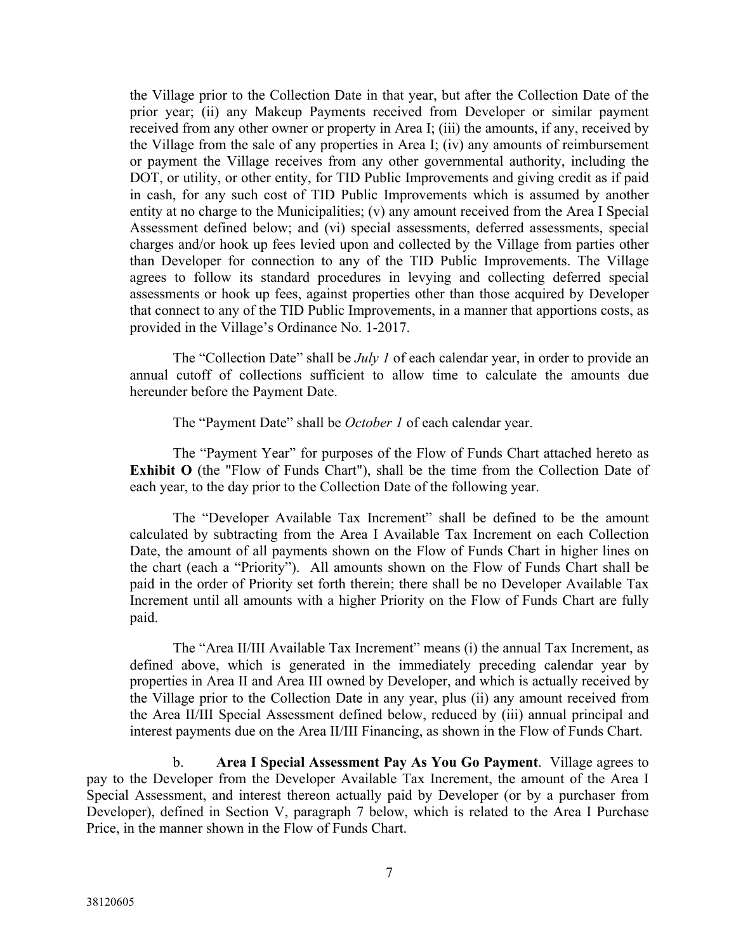the Village prior to the Collection Date in that year, but after the Collection Date of the prior year; (ii) any Makeup Payments received from Developer or similar payment received from any other owner or property in Area I; (iii) the amounts, if any, received by the Village from the sale of any properties in Area I; (iv) any amounts of reimbursement or payment the Village receives from any other governmental authority, including the DOT, or utility, or other entity, for TID Public Improvements and giving credit as if paid in cash, for any such cost of TID Public Improvements which is assumed by another entity at no charge to the Municipalities; (v) any amount received from the Area I Special Assessment defined below; and (vi) special assessments, deferred assessments, special charges and/or hook up fees levied upon and collected by the Village from parties other than Developer for connection to any of the TID Public Improvements. The Village agrees to follow its standard procedures in levying and collecting deferred special assessments or hook up fees, against properties other than those acquired by Developer that connect to any of the TID Public Improvements, in a manner that apportions costs, as provided in the Village's Ordinance No. 1-2017.

The "Collection Date" shall be *July 1* of each calendar year, in order to provide an annual cutoff of collections sufficient to allow time to calculate the amounts due hereunder before the Payment Date.

The "Payment Date" shall be *October 1* of each calendar year.

The "Payment Year" for purposes of the Flow of Funds Chart attached hereto as **Exhibit O** (the "Flow of Funds Chart"), shall be the time from the Collection Date of each year, to the day prior to the Collection Date of the following year.

The "Developer Available Tax Increment" shall be defined to be the amount calculated by subtracting from the Area I Available Tax Increment on each Collection Date, the amount of all payments shown on the Flow of Funds Chart in higher lines on the chart (each a "Priority"). All amounts shown on the Flow of Funds Chart shall be paid in the order of Priority set forth therein; there shall be no Developer Available Tax Increment until all amounts with a higher Priority on the Flow of Funds Chart are fully paid.

The "Area II/III Available Tax Increment" means (i) the annual Tax Increment, as defined above, which is generated in the immediately preceding calendar year by properties in Area II and Area III owned by Developer, and which is actually received by the Village prior to the Collection Date in any year, plus (ii) any amount received from the Area II/III Special Assessment defined below, reduced by (iii) annual principal and interest payments due on the Area II/III Financing, as shown in the Flow of Funds Chart.

b. **Area I Special Assessment Pay As You Go Payment**. Village agrees to pay to the Developer from the Developer Available Tax Increment, the amount of the Area I Special Assessment, and interest thereon actually paid by Developer (or by a purchaser from Developer), defined in Section V, paragraph 7 below, which is related to the Area I Purchase Price, in the manner shown in the Flow of Funds Chart.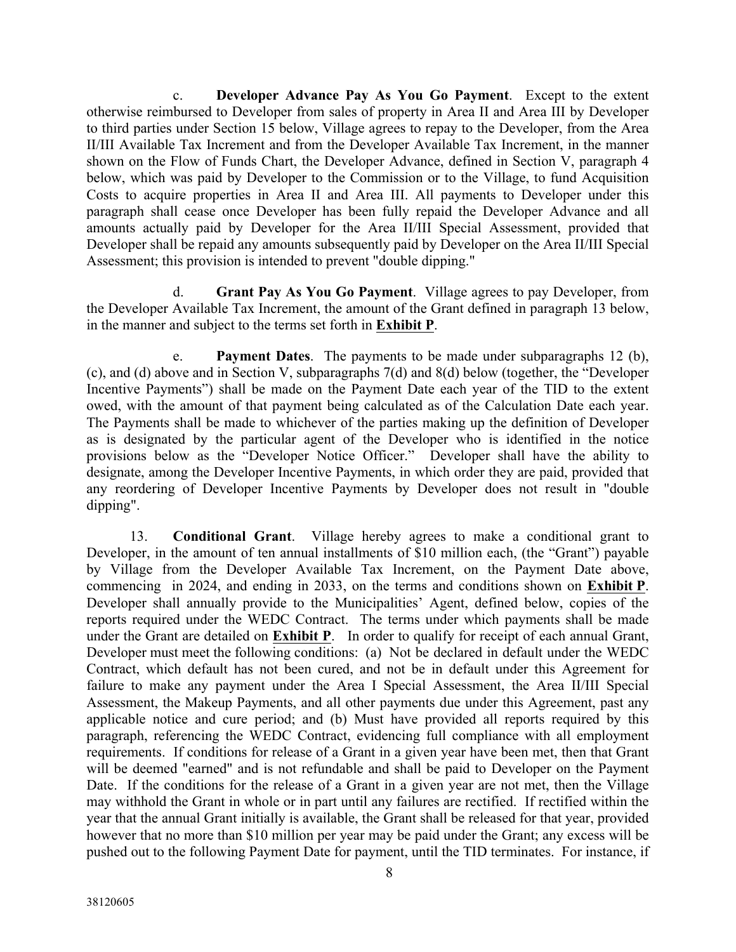c. **Developer Advance Pay As You Go Payment**. Except to the extent otherwise reimbursed to Developer from sales of property in Area II and Area III by Developer to third parties under Section 15 below, Village agrees to repay to the Developer, from the Area II/III Available Tax Increment and from the Developer Available Tax Increment, in the manner shown on the Flow of Funds Chart, the Developer Advance, defined in Section V, paragraph 4 below, which was paid by Developer to the Commission or to the Village, to fund Acquisition Costs to acquire properties in Area II and Area III. All payments to Developer under this paragraph shall cease once Developer has been fully repaid the Developer Advance and all amounts actually paid by Developer for the Area II/III Special Assessment, provided that Developer shall be repaid any amounts subsequently paid by Developer on the Area II/III Special Assessment; this provision is intended to prevent "double dipping."

d. **Grant Pay As You Go Payment**. Village agrees to pay Developer, from the Developer Available Tax Increment, the amount of the Grant defined in paragraph 13 below, in the manner and subject to the terms set forth in **Exhibit P**.

e. **Payment Dates**. The payments to be made under subparagraphs 12 (b), (c), and (d) above and in Section V, subparagraphs 7(d) and 8(d) below (together, the "Developer Incentive Payments") shall be made on the Payment Date each year of the TID to the extent owed, with the amount of that payment being calculated as of the Calculation Date each year. The Payments shall be made to whichever of the parties making up the definition of Developer as is designated by the particular agent of the Developer who is identified in the notice provisions below as the "Developer Notice Officer." Developer shall have the ability to designate, among the Developer Incentive Payments, in which order they are paid, provided that any reordering of Developer Incentive Payments by Developer does not result in "double dipping".

13. **Conditional Grant**. Village hereby agrees to make a conditional grant to Developer, in the amount of ten annual installments of \$10 million each, (the "Grant") payable by Village from the Developer Available Tax Increment, on the Payment Date above, commencing in 2024, and ending in 2033, on the terms and conditions shown on **Exhibit P**. Developer shall annually provide to the Municipalities' Agent, defined below, copies of the reports required under the WEDC Contract. The terms under which payments shall be made under the Grant are detailed on **Exhibit P**. In order to qualify for receipt of each annual Grant, Developer must meet the following conditions: (a) Not be declared in default under the WEDC Contract, which default has not been cured, and not be in default under this Agreement for failure to make any payment under the Area I Special Assessment, the Area II/III Special Assessment, the Makeup Payments, and all other payments due under this Agreement, past any applicable notice and cure period; and (b) Must have provided all reports required by this paragraph, referencing the WEDC Contract, evidencing full compliance with all employment requirements. If conditions for release of a Grant in a given year have been met, then that Grant will be deemed "earned" and is not refundable and shall be paid to Developer on the Payment Date. If the conditions for the release of a Grant in a given year are not met, then the Village may withhold the Grant in whole or in part until any failures are rectified. If rectified within the year that the annual Grant initially is available, the Grant shall be released for that year, provided however that no more than \$10 million per year may be paid under the Grant; any excess will be pushed out to the following Payment Date for payment, until the TID terminates. For instance, if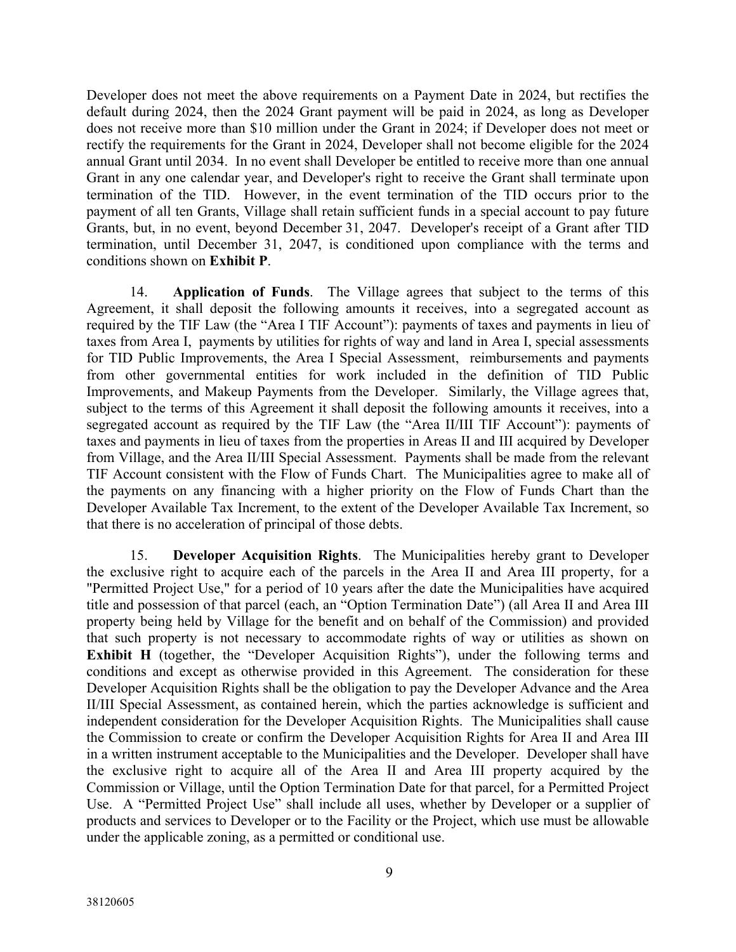Developer does not meet the above requirements on a Payment Date in 2024, but rectifies the default during 2024, then the 2024 Grant payment will be paid in 2024, as long as Developer does not receive more than \$10 million under the Grant in 2024; if Developer does not meet or rectify the requirements for the Grant in 2024, Developer shall not become eligible for the 2024 annual Grant until 2034. In no event shall Developer be entitled to receive more than one annual Grant in any one calendar year, and Developer's right to receive the Grant shall terminate upon termination of the TID. However, in the event termination of the TID occurs prior to the payment of all ten Grants, Village shall retain sufficient funds in a special account to pay future Grants, but, in no event, beyond December 31, 2047. Developer's receipt of a Grant after TID termination, until December 31, 2047, is conditioned upon compliance with the terms and conditions shown on **Exhibit P**.

14. **Application of Funds**. The Village agrees that subject to the terms of this Agreement, it shall deposit the following amounts it receives, into a segregated account as required by the TIF Law (the "Area I TIF Account"): payments of taxes and payments in lieu of taxes from Area I, payments by utilities for rights of way and land in Area I, special assessments for TID Public Improvements, the Area I Special Assessment, reimbursements and payments from other governmental entities for work included in the definition of TID Public Improvements, and Makeup Payments from the Developer. Similarly, the Village agrees that, subject to the terms of this Agreement it shall deposit the following amounts it receives, into a segregated account as required by the TIF Law (the "Area II/III TIF Account"): payments of taxes and payments in lieu of taxes from the properties in Areas II and III acquired by Developer from Village, and the Area II/III Special Assessment. Payments shall be made from the relevant TIF Account consistent with the Flow of Funds Chart. The Municipalities agree to make all of the payments on any financing with a higher priority on the Flow of Funds Chart than the Developer Available Tax Increment, to the extent of the Developer Available Tax Increment, so that there is no acceleration of principal of those debts.

15. **Developer Acquisition Rights**. The Municipalities hereby grant to Developer the exclusive right to acquire each of the parcels in the Area II and Area III property, for a "Permitted Project Use," for a period of 10 years after the date the Municipalities have acquired title and possession of that parcel (each, an "Option Termination Date") (all Area II and Area III property being held by Village for the benefit and on behalf of the Commission) and provided that such property is not necessary to accommodate rights of way or utilities as shown on **Exhibit H** (together, the "Developer Acquisition Rights"), under the following terms and conditions and except as otherwise provided in this Agreement. The consideration for these Developer Acquisition Rights shall be the obligation to pay the Developer Advance and the Area II/III Special Assessment, as contained herein, which the parties acknowledge is sufficient and independent consideration for the Developer Acquisition Rights. The Municipalities shall cause the Commission to create or confirm the Developer Acquisition Rights for Area II and Area III in a written instrument acceptable to the Municipalities and the Developer. Developer shall have the exclusive right to acquire all of the Area II and Area III property acquired by the Commission or Village, until the Option Termination Date for that parcel, for a Permitted Project Use. A "Permitted Project Use" shall include all uses, whether by Developer or a supplier of products and services to Developer or to the Facility or the Project, which use must be allowable under the applicable zoning, as a permitted or conditional use.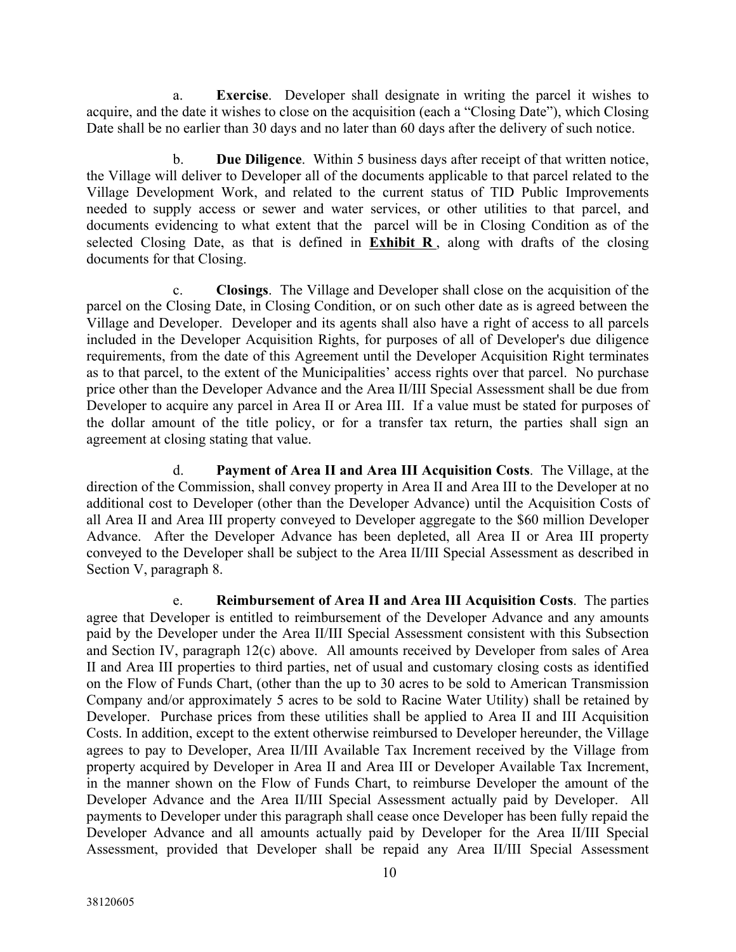a. **Exercise**. Developer shall designate in writing the parcel it wishes to acquire, and the date it wishes to close on the acquisition (each a "Closing Date"), which Closing Date shall be no earlier than 30 days and no later than 60 days after the delivery of such notice.

b. **Due Diligence**. Within 5 business days after receipt of that written notice, the Village will deliver to Developer all of the documents applicable to that parcel related to the Village Development Work, and related to the current status of TID Public Improvements needed to supply access or sewer and water services, or other utilities to that parcel, and documents evidencing to what extent that the parcel will be in Closing Condition as of the selected Closing Date, as that is defined in **Exhibit R** , along with drafts of the closing documents for that Closing.

c. **Closings**. The Village and Developer shall close on the acquisition of the parcel on the Closing Date, in Closing Condition, or on such other date as is agreed between the Village and Developer. Developer and its agents shall also have a right of access to all parcels included in the Developer Acquisition Rights, for purposes of all of Developer's due diligence requirements, from the date of this Agreement until the Developer Acquisition Right terminates as to that parcel, to the extent of the Municipalities' access rights over that parcel. No purchase price other than the Developer Advance and the Area II/III Special Assessment shall be due from Developer to acquire any parcel in Area II or Area III. If a value must be stated for purposes of the dollar amount of the title policy, or for a transfer tax return, the parties shall sign an agreement at closing stating that value.

d. **Payment of Area II and Area III Acquisition Costs**. The Village, at the direction of the Commission, shall convey property in Area II and Area III to the Developer at no additional cost to Developer (other than the Developer Advance) until the Acquisition Costs of all Area II and Area III property conveyed to Developer aggregate to the \$60 million Developer Advance. After the Developer Advance has been depleted, all Area II or Area III property conveyed to the Developer shall be subject to the Area II/III Special Assessment as described in Section V, paragraph 8.

e. **Reimbursement of Area II and Area III Acquisition Costs**. The parties agree that Developer is entitled to reimbursement of the Developer Advance and any amounts paid by the Developer under the Area II/III Special Assessment consistent with this Subsection and Section IV, paragraph 12(c) above. All amounts received by Developer from sales of Area II and Area III properties to third parties, net of usual and customary closing costs as identified on the Flow of Funds Chart, (other than the up to 30 acres to be sold to American Transmission Company and/or approximately 5 acres to be sold to Racine Water Utility) shall be retained by Developer. Purchase prices from these utilities shall be applied to Area II and III Acquisition Costs. In addition, except to the extent otherwise reimbursed to Developer hereunder, the Village agrees to pay to Developer, Area II/III Available Tax Increment received by the Village from property acquired by Developer in Area II and Area III or Developer Available Tax Increment, in the manner shown on the Flow of Funds Chart, to reimburse Developer the amount of the Developer Advance and the Area II/III Special Assessment actually paid by Developer. All payments to Developer under this paragraph shall cease once Developer has been fully repaid the Developer Advance and all amounts actually paid by Developer for the Area II/III Special Assessment, provided that Developer shall be repaid any Area II/III Special Assessment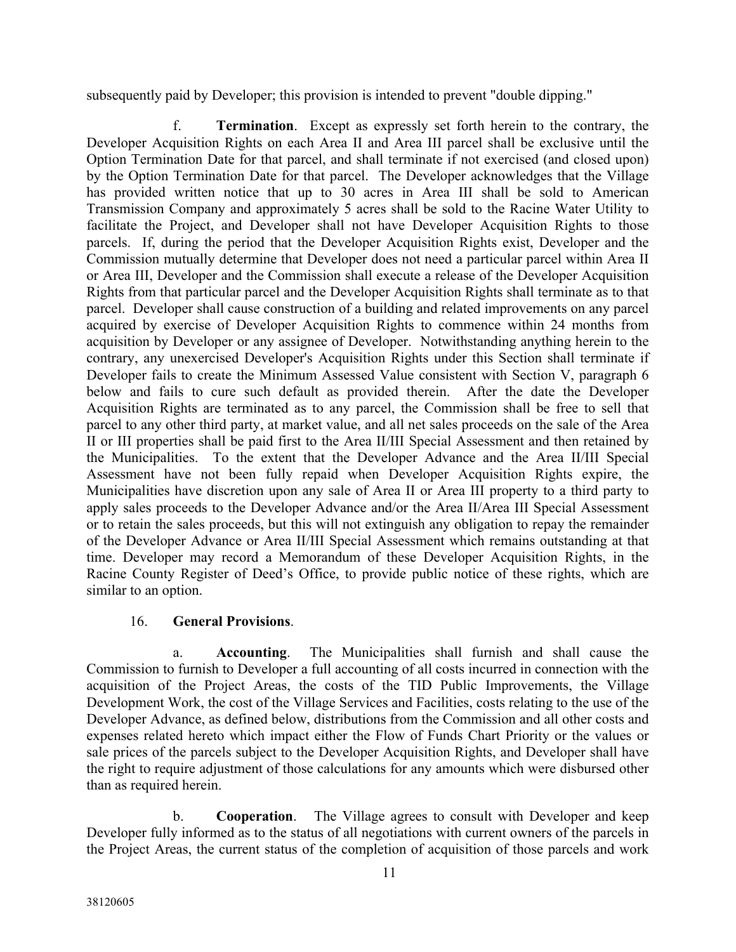subsequently paid by Developer; this provision is intended to prevent "double dipping."

f. **Termination**. Except as expressly set forth herein to the contrary, the Developer Acquisition Rights on each Area II and Area III parcel shall be exclusive until the Option Termination Date for that parcel, and shall terminate if not exercised (and closed upon) by the Option Termination Date for that parcel. The Developer acknowledges that the Village has provided written notice that up to 30 acres in Area III shall be sold to American Transmission Company and approximately 5 acres shall be sold to the Racine Water Utility to facilitate the Project, and Developer shall not have Developer Acquisition Rights to those parcels. If, during the period that the Developer Acquisition Rights exist, Developer and the Commission mutually determine that Developer does not need a particular parcel within Area II or Area III, Developer and the Commission shall execute a release of the Developer Acquisition Rights from that particular parcel and the Developer Acquisition Rights shall terminate as to that parcel. Developer shall cause construction of a building and related improvements on any parcel acquired by exercise of Developer Acquisition Rights to commence within 24 months from acquisition by Developer or any assignee of Developer. Notwithstanding anything herein to the contrary, any unexercised Developer's Acquisition Rights under this Section shall terminate if Developer fails to create the Minimum Assessed Value consistent with Section V, paragraph 6 below and fails to cure such default as provided therein. After the date the Developer Acquisition Rights are terminated as to any parcel, the Commission shall be free to sell that parcel to any other third party, at market value, and all net sales proceeds on the sale of the Area II or III properties shall be paid first to the Area II/III Special Assessment and then retained by the Municipalities. To the extent that the Developer Advance and the Area II/III Special Assessment have not been fully repaid when Developer Acquisition Rights expire, the Municipalities have discretion upon any sale of Area II or Area III property to a third party to apply sales proceeds to the Developer Advance and/or the Area II/Area III Special Assessment or to retain the sales proceeds, but this will not extinguish any obligation to repay the remainder of the Developer Advance or Area II/III Special Assessment which remains outstanding at that time. Developer may record a Memorandum of these Developer Acquisition Rights, in the Racine County Register of Deed's Office, to provide public notice of these rights, which are similar to an option.

## 16. **General Provisions**.

a. **Accounting**. The Municipalities shall furnish and shall cause the Commission to furnish to Developer a full accounting of all costs incurred in connection with the acquisition of the Project Areas, the costs of the TID Public Improvements, the Village Development Work, the cost of the Village Services and Facilities, costs relating to the use of the Developer Advance, as defined below, distributions from the Commission and all other costs and expenses related hereto which impact either the Flow of Funds Chart Priority or the values or sale prices of the parcels subject to the Developer Acquisition Rights, and Developer shall have the right to require adjustment of those calculations for any amounts which were disbursed other than as required herein.

b. **Cooperation**. The Village agrees to consult with Developer and keep Developer fully informed as to the status of all negotiations with current owners of the parcels in the Project Areas, the current status of the completion of acquisition of those parcels and work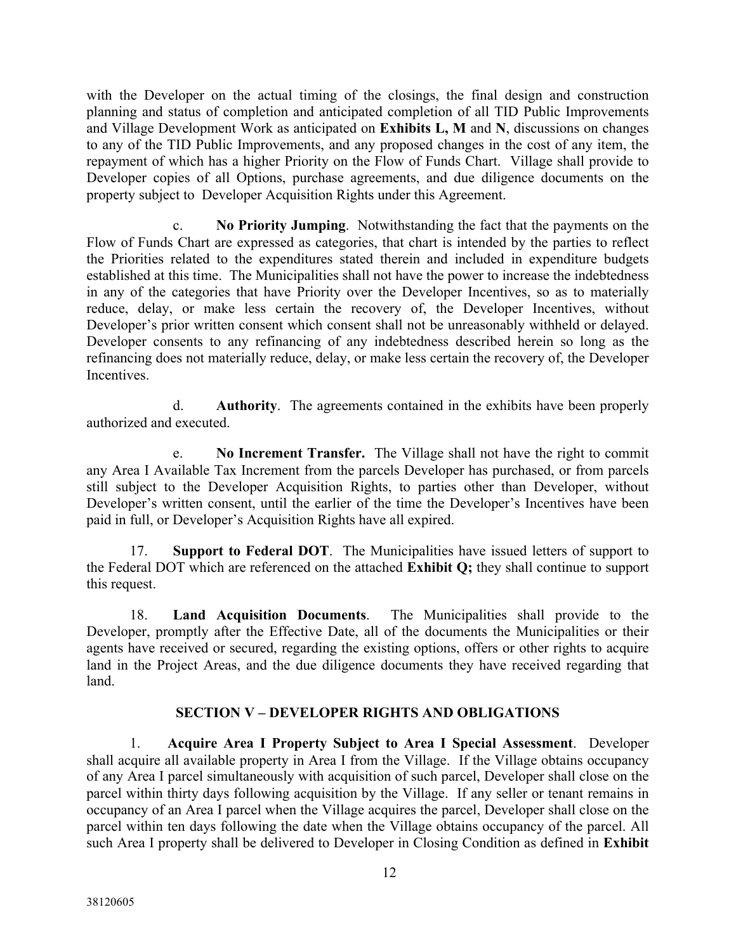with the Developer on the actual timing of the closings, the final design and construction planning and status of completion and anticipated completion of all TID Public Improvements and Village Development Work as anticipated on **Exhibits L, M** and **N**, discussions on changes to any of the TID Public Improvements, and any proposed changes in the cost of any item, the repayment of which has a higher Priority on the Flow of Funds Chart. Village shall provide to Developer copies of all Options, purchase agreements, and due diligence documents on the property subject to Developer Acquisition Rights under this Agreement.

**No Priority Jumping.** Notwithstanding the fact that the payments on the Flow of Funds Chart are expressed as categories, that chart is intended by the parties to reflect the Priorities related to the expenditures stated therein and included in expenditure budgets established at this time. The Municipalities shall not have the power to increase the indebtedness in any of the categories that have Priority over the Developer Incentives, so as to materially reduce, delay, or make less certain the recovery of, the Developer Incentives, without Developer's prior written consent which consent shall not be unreasonably withheld or delayed. Developer consents to any refinancing of any indebtedness described herein so long as the refinancing does not materially reduce, delay, or make less certain the recovery of, the Developer **Incentives** 

d. **Authority**. The agreements contained in the exhibits have been properly authorized and executed.

e. **No Increment Transfer.** The Village shall not have the right to commit any Area I Available Tax Increment from the parcels Developer has purchased, or from parcels still subject to the Developer Acquisition Rights, to parties other than Developer, without Developer's written consent, until the earlier of the time the Developer's Incentives have been paid in full, or Developer's Acquisition Rights have all expired.

17. **Support to Federal DOT**. The Municipalities have issued letters of support to the Federal DOT which are referenced on the attached **Exhibit Q;** they shall continue to support this request.

18. **Land Acquisition Documents**. The Municipalities shall provide to the Developer, promptly after the Effective Date, all of the documents the Municipalities or their agents have received or secured, regarding the existing options, offers or other rights to acquire land in the Project Areas, and the due diligence documents they have received regarding that land.

### **SECTION V – DEVELOPER RIGHTS AND OBLIGATIONS**

1. **Acquire Area I Property Subject to Area I Special Assessment**. Developer shall acquire all available property in Area I from the Village. If the Village obtains occupancy of any Area I parcel simultaneously with acquisition of such parcel, Developer shall close on the parcel within thirty days following acquisition by the Village. If any seller or tenant remains in occupancy of an Area I parcel when the Village acquires the parcel, Developer shall close on the parcel within ten days following the date when the Village obtains occupancy of the parcel. All such Area I property shall be delivered to Developer in Closing Condition as defined in **Exhibit**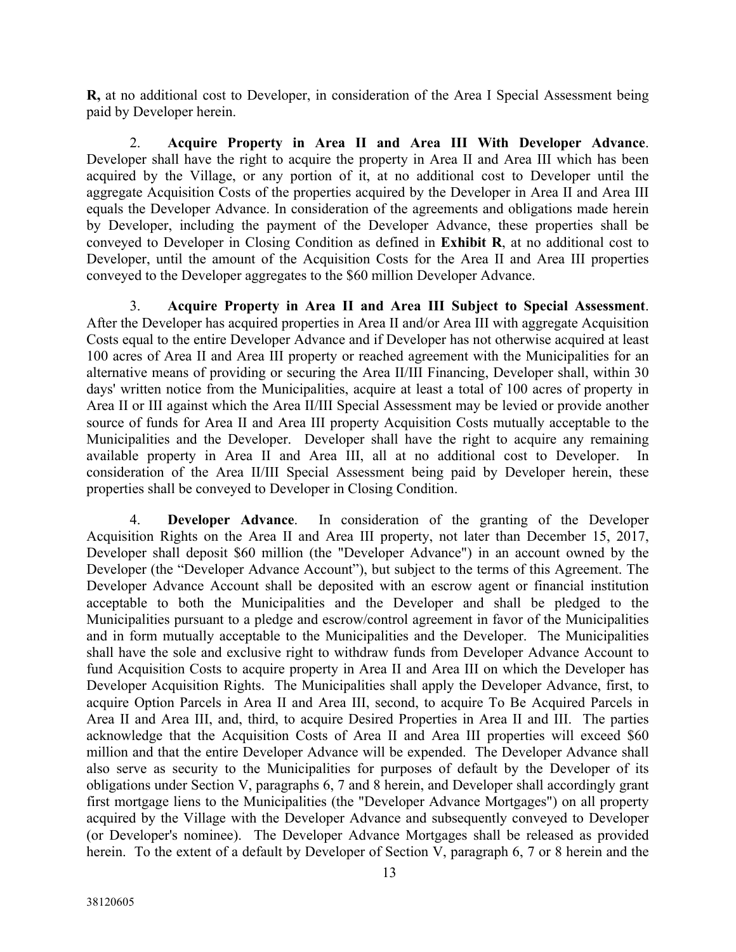**R,** at no additional cost to Developer, in consideration of the Area I Special Assessment being paid by Developer herein.

2. **Acquire Property in Area II and Area III With Developer Advance**. Developer shall have the right to acquire the property in Area II and Area III which has been acquired by the Village, or any portion of it, at no additional cost to Developer until the aggregate Acquisition Costs of the properties acquired by the Developer in Area II and Area III equals the Developer Advance. In consideration of the agreements and obligations made herein by Developer, including the payment of the Developer Advance, these properties shall be conveyed to Developer in Closing Condition as defined in **Exhibit R**, at no additional cost to Developer, until the amount of the Acquisition Costs for the Area II and Area III properties conveyed to the Developer aggregates to the \$60 million Developer Advance.

3. **Acquire Property in Area II and Area III Subject to Special Assessment**. After the Developer has acquired properties in Area II and/or Area III with aggregate Acquisition Costs equal to the entire Developer Advance and if Developer has not otherwise acquired at least 100 acres of Area II and Area III property or reached agreement with the Municipalities for an alternative means of providing or securing the Area II/III Financing, Developer shall, within 30 days' written notice from the Municipalities, acquire at least a total of 100 acres of property in Area II or III against which the Area II/III Special Assessment may be levied or provide another source of funds for Area II and Area III property Acquisition Costs mutually acceptable to the Municipalities and the Developer. Developer shall have the right to acquire any remaining available property in Area II and Area III, all at no additional cost to Developer. In consideration of the Area II/III Special Assessment being paid by Developer herein, these properties shall be conveyed to Developer in Closing Condition.

4. **Developer Advance**. In consideration of the granting of the Developer Acquisition Rights on the Area II and Area III property, not later than December 15, 2017, Developer shall deposit \$60 million (the "Developer Advance") in an account owned by the Developer (the "Developer Advance Account"), but subject to the terms of this Agreement. The Developer Advance Account shall be deposited with an escrow agent or financial institution acceptable to both the Municipalities and the Developer and shall be pledged to the Municipalities pursuant to a pledge and escrow/control agreement in favor of the Municipalities and in form mutually acceptable to the Municipalities and the Developer. The Municipalities shall have the sole and exclusive right to withdraw funds from Developer Advance Account to fund Acquisition Costs to acquire property in Area II and Area III on which the Developer has Developer Acquisition Rights. The Municipalities shall apply the Developer Advance, first, to acquire Option Parcels in Area II and Area III, second, to acquire To Be Acquired Parcels in Area II and Area III, and, third, to acquire Desired Properties in Area II and III. The parties acknowledge that the Acquisition Costs of Area II and Area III properties will exceed \$60 million and that the entire Developer Advance will be expended. The Developer Advance shall also serve as security to the Municipalities for purposes of default by the Developer of its obligations under Section V, paragraphs 6, 7 and 8 herein, and Developer shall accordingly grant first mortgage liens to the Municipalities (the "Developer Advance Mortgages") on all property acquired by the Village with the Developer Advance and subsequently conveyed to Developer (or Developer's nominee). The Developer Advance Mortgages shall be released as provided herein. To the extent of a default by Developer of Section V, paragraph 6, 7 or 8 herein and the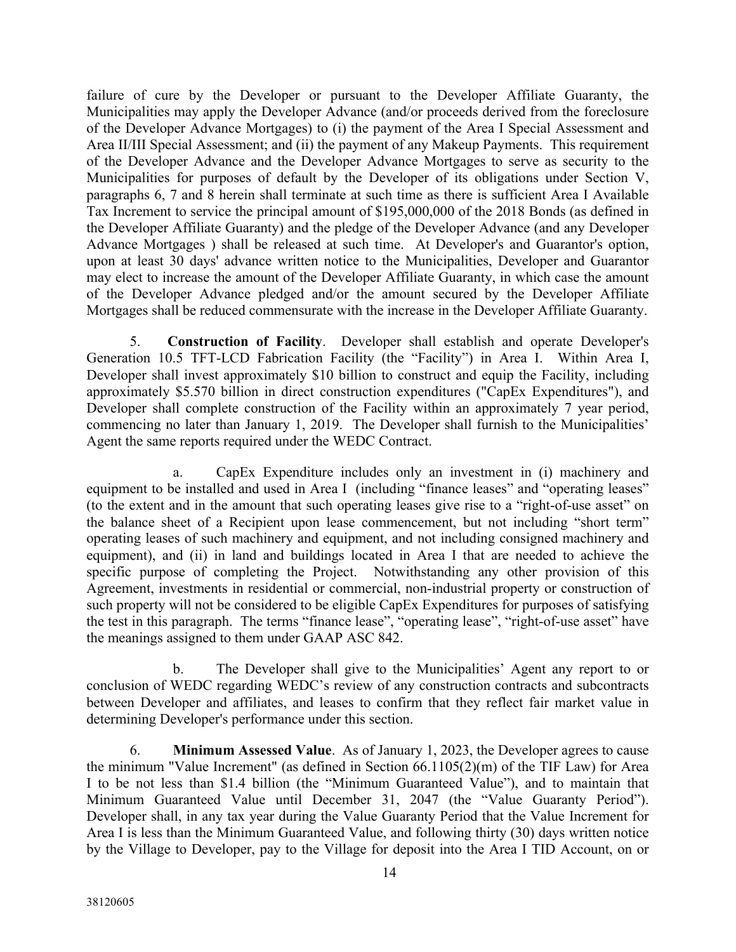failure of cure by the Developer or pursuant to the Developer Affiliate Guaranty, the Municipalities may apply the Developer Advance (and/or proceeds derived from the foreclosure of the Developer Advance Mortgages) to (i) the payment of the Area I Special Assessment and Area II/III Special Assessment; and (ii) the payment of any Makeup Payments. This requirement of the Developer Advance and the Developer Advance Mortgages to serve as security to the Municipalities for purposes of default by the Developer of its obligations under Section V, paragraphs 6, 7 and 8 herein shall terminate at such time as there is sufficient Area I Available Tax Increment to service the principal amount of \$195,000,000 of the 2018 Bonds (as defined in the Developer Affiliate Guaranty) and the pledge of the Developer Advance (and any Developer Advance Mortgages ) shall be released at such time. At Developer's and Guarantor's option, upon at least 30 days' advance written notice to the Municipalities, Developer and Guarantor may elect to increase the amount of the Developer Affiliate Guaranty, in which case the amount of the Developer Advance pledged and/or the amount secured by the Developer Affiliate Mortgages shall be reduced commensurate with the increase in the Developer Affiliate Guaranty.

5. **Construction of Facility**. Developer shall establish and operate Developer's Generation 10.5 TFT-LCD Fabrication Facility (the "Facility") in Area I. Within Area I, Developer shall invest approximately \$10 billion to construct and equip the Facility, including approximately \$5.570 billion in direct construction expenditures ("CapEx Expenditures"), and Developer shall complete construction of the Facility within an approximately 7 year period, commencing no later than January 1, 2019. The Developer shall furnish to the Municipalities' Agent the same reports required under the WEDC Contract.

a. CapEx Expenditure includes only an investment in (i) machinery and equipment to be installed and used in Area I (including "finance leases" and "operating leases" (to the extent and in the amount that such operating leases give rise to a "right-of-use asset" on the balance sheet of a Recipient upon lease commencement, but not including "short term" operating leases of such machinery and equipment, and not including consigned machinery and equipment), and (ii) in land and buildings located in Area I that are needed to achieve the specific purpose of completing the Project. Notwithstanding any other provision of this Agreement, investments in residential or commercial, non-industrial property or construction of such property will not be considered to be eligible CapEx Expenditures for purposes of satisfying the test in this paragraph. The terms "finance lease", "operating lease", "right-of-use asset" have the meanings assigned to them under GAAP ASC 842.

b. The Developer shall give to the Municipalities' Agent any report to or conclusion of WEDC regarding WEDC's review of any construction contracts and subcontracts between Developer and affiliates, and leases to confirm that they reflect fair market value in determining Developer's performance under this section.

6. **Minimum Assessed Value**. As of January 1, 2023, the Developer agrees to cause the minimum "Value Increment" (as defined in Section 66.1105(2)(m) of the TIF Law) for Area I to be not less than \$1.4 billion (the "Minimum Guaranteed Value"), and to maintain that Minimum Guaranteed Value until December 31, 2047 (the "Value Guaranty Period"). Developer shall, in any tax year during the Value Guaranty Period that the Value Increment for Area I is less than the Minimum Guaranteed Value, and following thirty (30) days written notice by the Village to Developer, pay to the Village for deposit into the Area I TID Account, on or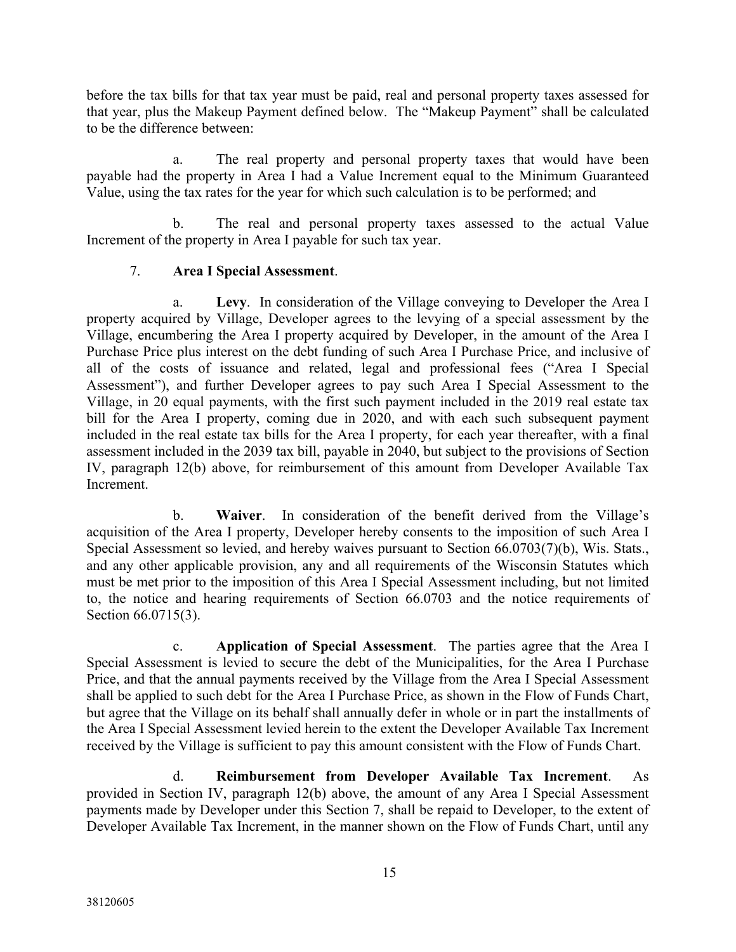before the tax bills for that tax year must be paid, real and personal property taxes assessed for that year, plus the Makeup Payment defined below. The "Makeup Payment" shall be calculated to be the difference between:

a. The real property and personal property taxes that would have been payable had the property in Area I had a Value Increment equal to the Minimum Guaranteed Value, using the tax rates for the year for which such calculation is to be performed; and

b. The real and personal property taxes assessed to the actual Value Increment of the property in Area I payable for such tax year.

## 7. **Area I Special Assessment**.

Levy. In consideration of the Village conveying to Developer the Area I property acquired by Village, Developer agrees to the levying of a special assessment by the Village, encumbering the Area I property acquired by Developer, in the amount of the Area I Purchase Price plus interest on the debt funding of such Area I Purchase Price, and inclusive of all of the costs of issuance and related, legal and professional fees ("Area I Special Assessment"), and further Developer agrees to pay such Area I Special Assessment to the Village, in 20 equal payments, with the first such payment included in the 2019 real estate tax bill for the Area I property, coming due in 2020, and with each such subsequent payment included in the real estate tax bills for the Area I property, for each year thereafter, with a final assessment included in the 2039 tax bill, payable in 2040, but subject to the provisions of Section IV, paragraph 12(b) above, for reimbursement of this amount from Developer Available Tax Increment.

b. **Waiver**. In consideration of the benefit derived from the Village's acquisition of the Area I property, Developer hereby consents to the imposition of such Area I Special Assessment so levied, and hereby waives pursuant to Section 66.0703(7)(b), Wis. Stats., and any other applicable provision, any and all requirements of the Wisconsin Statutes which must be met prior to the imposition of this Area I Special Assessment including, but not limited to, the notice and hearing requirements of Section 66.0703 and the notice requirements of Section 66.0715(3).

c. **Application of Special Assessment**. The parties agree that the Area I Special Assessment is levied to secure the debt of the Municipalities, for the Area I Purchase Price, and that the annual payments received by the Village from the Area I Special Assessment shall be applied to such debt for the Area I Purchase Price, as shown in the Flow of Funds Chart, but agree that the Village on its behalf shall annually defer in whole or in part the installments of the Area I Special Assessment levied herein to the extent the Developer Available Tax Increment received by the Village is sufficient to pay this amount consistent with the Flow of Funds Chart.

d. **Reimbursement from Developer Available Tax Increment**. As provided in Section IV, paragraph 12(b) above, the amount of any Area I Special Assessment payments made by Developer under this Section 7, shall be repaid to Developer, to the extent of Developer Available Tax Increment, in the manner shown on the Flow of Funds Chart, until any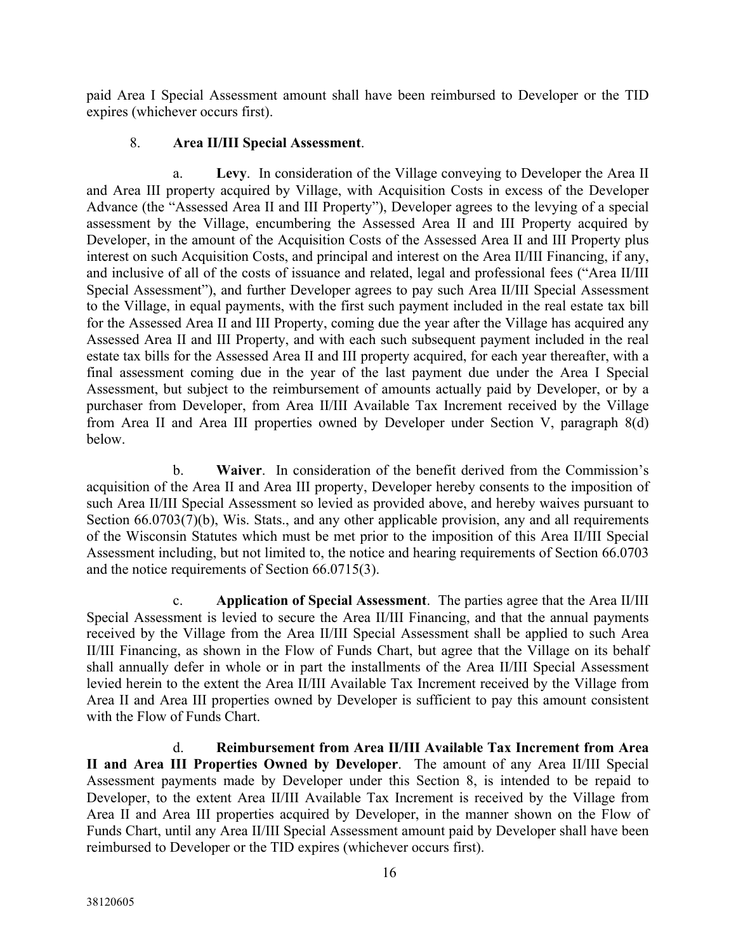paid Area I Special Assessment amount shall have been reimbursed to Developer or the TID expires (whichever occurs first).

### 8. **Area II/III Special Assessment**.

Levy. In consideration of the Village conveying to Developer the Area II and Area III property acquired by Village, with Acquisition Costs in excess of the Developer Advance (the "Assessed Area II and III Property"), Developer agrees to the levying of a special assessment by the Village, encumbering the Assessed Area II and III Property acquired by Developer, in the amount of the Acquisition Costs of the Assessed Area II and III Property plus interest on such Acquisition Costs, and principal and interest on the Area II/III Financing, if any, and inclusive of all of the costs of issuance and related, legal and professional fees ("Area II/III Special Assessment"), and further Developer agrees to pay such Area II/III Special Assessment to the Village, in equal payments, with the first such payment included in the real estate tax bill for the Assessed Area II and III Property, coming due the year after the Village has acquired any Assessed Area II and III Property, and with each such subsequent payment included in the real estate tax bills for the Assessed Area II and III property acquired, for each year thereafter, with a final assessment coming due in the year of the last payment due under the Area I Special Assessment, but subject to the reimbursement of amounts actually paid by Developer, or by a purchaser from Developer, from Area II/III Available Tax Increment received by the Village from Area II and Area III properties owned by Developer under Section V, paragraph 8(d) below.

b. **Waiver**. In consideration of the benefit derived from the Commission's acquisition of the Area II and Area III property, Developer hereby consents to the imposition of such Area II/III Special Assessment so levied as provided above, and hereby waives pursuant to Section 66.0703(7)(b), Wis. Stats., and any other applicable provision, any and all requirements of the Wisconsin Statutes which must be met prior to the imposition of this Area II/III Special Assessment including, but not limited to, the notice and hearing requirements of Section 66.0703 and the notice requirements of Section 66.0715(3).

c. **Application of Special Assessment**. The parties agree that the Area II/III Special Assessment is levied to secure the Area II/III Financing, and that the annual payments received by the Village from the Area II/III Special Assessment shall be applied to such Area II/III Financing, as shown in the Flow of Funds Chart, but agree that the Village on its behalf shall annually defer in whole or in part the installments of the Area II/III Special Assessment levied herein to the extent the Area II/III Available Tax Increment received by the Village from Area II and Area III properties owned by Developer is sufficient to pay this amount consistent with the Flow of Funds Chart.

d. **Reimbursement from Area II/III Available Tax Increment from Area II and Area III Properties Owned by Developer**. The amount of any Area II/III Special Assessment payments made by Developer under this Section 8, is intended to be repaid to Developer, to the extent Area II/III Available Tax Increment is received by the Village from Area II and Area III properties acquired by Developer, in the manner shown on the Flow of Funds Chart, until any Area II/III Special Assessment amount paid by Developer shall have been reimbursed to Developer or the TID expires (whichever occurs first).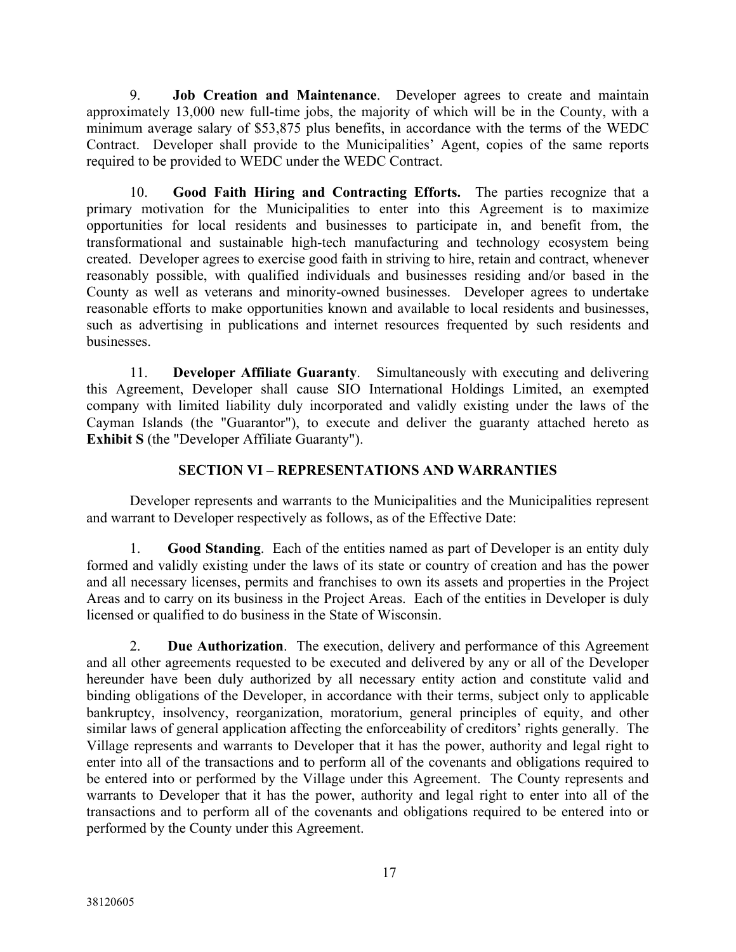9. **Job Creation and Maintenance**. Developer agrees to create and maintain approximately 13,000 new full-time jobs, the majority of which will be in the County, with a minimum average salary of \$53,875 plus benefits, in accordance with the terms of the WEDC Contract. Developer shall provide to the Municipalities' Agent, copies of the same reports required to be provided to WEDC under the WEDC Contract.

10. **Good Faith Hiring and Contracting Efforts.** The parties recognize that a primary motivation for the Municipalities to enter into this Agreement is to maximize opportunities for local residents and businesses to participate in, and benefit from, the transformational and sustainable high-tech manufacturing and technology ecosystem being created. Developer agrees to exercise good faith in striving to hire, retain and contract, whenever reasonably possible, with qualified individuals and businesses residing and/or based in the County as well as veterans and minority-owned businesses. Developer agrees to undertake reasonable efforts to make opportunities known and available to local residents and businesses, such as advertising in publications and internet resources frequented by such residents and businesses.

11. **Developer Affiliate Guaranty**. Simultaneously with executing and delivering this Agreement, Developer shall cause SIO International Holdings Limited, an exempted company with limited liability duly incorporated and validly existing under the laws of the Cayman Islands (the "Guarantor"), to execute and deliver the guaranty attached hereto as **Exhibit S** (the "Developer Affiliate Guaranty").

## **SECTION VI – REPRESENTATIONS AND WARRANTIES**

Developer represents and warrants to the Municipalities and the Municipalities represent and warrant to Developer respectively as follows, as of the Effective Date:

1. **Good Standing**. Each of the entities named as part of Developer is an entity duly formed and validly existing under the laws of its state or country of creation and has the power and all necessary licenses, permits and franchises to own its assets and properties in the Project Areas and to carry on its business in the Project Areas. Each of the entities in Developer is duly licensed or qualified to do business in the State of Wisconsin.

2. **Due Authorization**. The execution, delivery and performance of this Agreement and all other agreements requested to be executed and delivered by any or all of the Developer hereunder have been duly authorized by all necessary entity action and constitute valid and binding obligations of the Developer, in accordance with their terms, subject only to applicable bankruptcy, insolvency, reorganization, moratorium, general principles of equity, and other similar laws of general application affecting the enforceability of creditors' rights generally. The Village represents and warrants to Developer that it has the power, authority and legal right to enter into all of the transactions and to perform all of the covenants and obligations required to be entered into or performed by the Village under this Agreement. The County represents and warrants to Developer that it has the power, authority and legal right to enter into all of the transactions and to perform all of the covenants and obligations required to be entered into or performed by the County under this Agreement.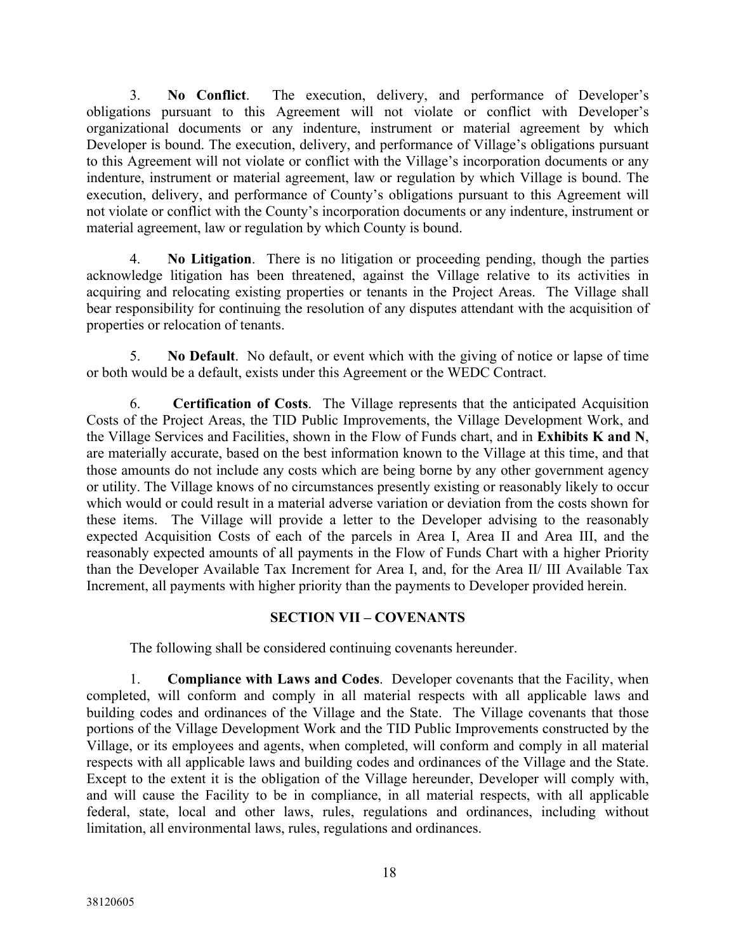3. **No Conflict**. The execution, delivery, and performance of Developer's obligations pursuant to this Agreement will not violate or conflict with Developer's organizational documents or any indenture, instrument or material agreement by which Developer is bound. The execution, delivery, and performance of Village's obligations pursuant to this Agreement will not violate or conflict with the Village's incorporation documents or any indenture, instrument or material agreement, law or regulation by which Village is bound. The execution, delivery, and performance of County's obligations pursuant to this Agreement will not violate or conflict with the County's incorporation documents or any indenture, instrument or material agreement, law or regulation by which County is bound.

4. **No Litigation**. There is no litigation or proceeding pending, though the parties acknowledge litigation has been threatened, against the Village relative to its activities in acquiring and relocating existing properties or tenants in the Project Areas. The Village shall bear responsibility for continuing the resolution of any disputes attendant with the acquisition of properties or relocation of tenants.

5. **No Default**. No default, or event which with the giving of notice or lapse of time or both would be a default, exists under this Agreement or the WEDC Contract.

6. **Certification of Costs**. The Village represents that the anticipated Acquisition Costs of the Project Areas, the TID Public Improvements, the Village Development Work, and the Village Services and Facilities, shown in the Flow of Funds chart, and in **Exhibits K and N**, are materially accurate, based on the best information known to the Village at this time, and that those amounts do not include any costs which are being borne by any other government agency or utility. The Village knows of no circumstances presently existing or reasonably likely to occur which would or could result in a material adverse variation or deviation from the costs shown for these items. The Village will provide a letter to the Developer advising to the reasonably expected Acquisition Costs of each of the parcels in Area I, Area II and Area III, and the reasonably expected amounts of all payments in the Flow of Funds Chart with a higher Priority than the Developer Available Tax Increment for Area I, and, for the Area II/ III Available Tax Increment, all payments with higher priority than the payments to Developer provided herein.

### **SECTION VII – COVENANTS**

The following shall be considered continuing covenants hereunder.

1. **Compliance with Laws and Codes**. Developer covenants that the Facility, when completed, will conform and comply in all material respects with all applicable laws and building codes and ordinances of the Village and the State. The Village covenants that those portions of the Village Development Work and the TID Public Improvements constructed by the Village, or its employees and agents, when completed, will conform and comply in all material respects with all applicable laws and building codes and ordinances of the Village and the State. Except to the extent it is the obligation of the Village hereunder, Developer will comply with, and will cause the Facility to be in compliance, in all material respects, with all applicable federal, state, local and other laws, rules, regulations and ordinances, including without limitation, all environmental laws, rules, regulations and ordinances.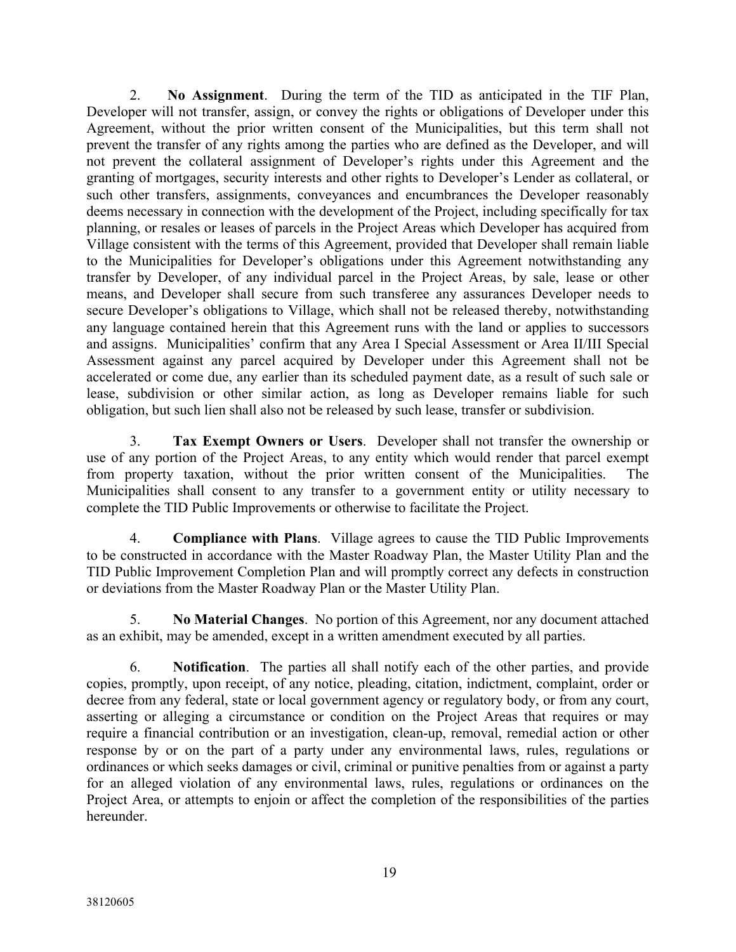2. **No Assignment**. During the term of the TID as anticipated in the TIF Plan, Developer will not transfer, assign, or convey the rights or obligations of Developer under this Agreement, without the prior written consent of the Municipalities, but this term shall not prevent the transfer of any rights among the parties who are defined as the Developer, and will not prevent the collateral assignment of Developer's rights under this Agreement and the granting of mortgages, security interests and other rights to Developer's Lender as collateral, or such other transfers, assignments, conveyances and encumbrances the Developer reasonably deems necessary in connection with the development of the Project, including specifically for tax planning, or resales or leases of parcels in the Project Areas which Developer has acquired from Village consistent with the terms of this Agreement, provided that Developer shall remain liable to the Municipalities for Developer's obligations under this Agreement notwithstanding any transfer by Developer, of any individual parcel in the Project Areas, by sale, lease or other means, and Developer shall secure from such transferee any assurances Developer needs to secure Developer's obligations to Village, which shall not be released thereby, notwithstanding any language contained herein that this Agreement runs with the land or applies to successors and assigns. Municipalities' confirm that any Area I Special Assessment or Area II/III Special Assessment against any parcel acquired by Developer under this Agreement shall not be accelerated or come due, any earlier than its scheduled payment date, as a result of such sale or lease, subdivision or other similar action, as long as Developer remains liable for such obligation, but such lien shall also not be released by such lease, transfer or subdivision.

3. **Tax Exempt Owners or Users**. Developer shall not transfer the ownership or use of any portion of the Project Areas, to any entity which would render that parcel exempt from property taxation, without the prior written consent of the Municipalities. The Municipalities shall consent to any transfer to a government entity or utility necessary to complete the TID Public Improvements or otherwise to facilitate the Project.

4. **Compliance with Plans**. Village agrees to cause the TID Public Improvements to be constructed in accordance with the Master Roadway Plan, the Master Utility Plan and the TID Public Improvement Completion Plan and will promptly correct any defects in construction or deviations from the Master Roadway Plan or the Master Utility Plan.

5. **No Material Changes**. No portion of this Agreement, nor any document attached as an exhibit, may be amended, except in a written amendment executed by all parties.

6. **Notification**. The parties all shall notify each of the other parties, and provide copies, promptly, upon receipt, of any notice, pleading, citation, indictment, complaint, order or decree from any federal, state or local government agency or regulatory body, or from any court, asserting or alleging a circumstance or condition on the Project Areas that requires or may require a financial contribution or an investigation, clean-up, removal, remedial action or other response by or on the part of a party under any environmental laws, rules, regulations or ordinances or which seeks damages or civil, criminal or punitive penalties from or against a party for an alleged violation of any environmental laws, rules, regulations or ordinances on the Project Area, or attempts to enjoin or affect the completion of the responsibilities of the parties hereunder.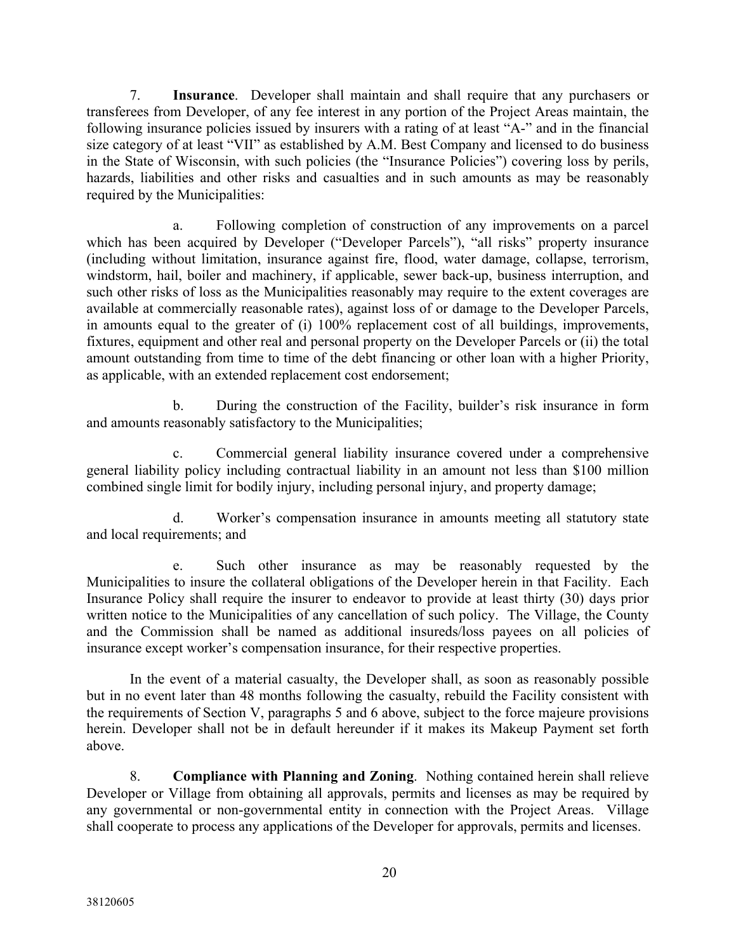7. **Insurance**. Developer shall maintain and shall require that any purchasers or transferees from Developer, of any fee interest in any portion of the Project Areas maintain, the following insurance policies issued by insurers with a rating of at least "A-" and in the financial size category of at least "VII" as established by A.M. Best Company and licensed to do business in the State of Wisconsin, with such policies (the "Insurance Policies") covering loss by perils, hazards, liabilities and other risks and casualties and in such amounts as may be reasonably required by the Municipalities:

a. Following completion of construction of any improvements on a parcel which has been acquired by Developer ("Developer Parcels"), "all risks" property insurance (including without limitation, insurance against fire, flood, water damage, collapse, terrorism, windstorm, hail, boiler and machinery, if applicable, sewer back-up, business interruption, and such other risks of loss as the Municipalities reasonably may require to the extent coverages are available at commercially reasonable rates), against loss of or damage to the Developer Parcels, in amounts equal to the greater of (i) 100% replacement cost of all buildings, improvements, fixtures, equipment and other real and personal property on the Developer Parcels or (ii) the total amount outstanding from time to time of the debt financing or other loan with a higher Priority, as applicable, with an extended replacement cost endorsement;

b. During the construction of the Facility, builder's risk insurance in form and amounts reasonably satisfactory to the Municipalities;

Commercial general liability insurance covered under a comprehensive general liability policy including contractual liability in an amount not less than \$100 million combined single limit for bodily injury, including personal injury, and property damage;

d. Worker's compensation insurance in amounts meeting all statutory state and local requirements; and

e. Such other insurance as may be reasonably requested by the Municipalities to insure the collateral obligations of the Developer herein in that Facility. Each Insurance Policy shall require the insurer to endeavor to provide at least thirty (30) days prior written notice to the Municipalities of any cancellation of such policy. The Village, the County and the Commission shall be named as additional insureds/loss payees on all policies of insurance except worker's compensation insurance, for their respective properties.

In the event of a material casualty, the Developer shall, as soon as reasonably possible but in no event later than 48 months following the casualty, rebuild the Facility consistent with the requirements of Section V, paragraphs 5 and 6 above, subject to the force majeure provisions herein. Developer shall not be in default hereunder if it makes its Makeup Payment set forth above.

8. **Compliance with Planning and Zoning**. Nothing contained herein shall relieve Developer or Village from obtaining all approvals, permits and licenses as may be required by any governmental or non-governmental entity in connection with the Project Areas. Village shall cooperate to process any applications of the Developer for approvals, permits and licenses.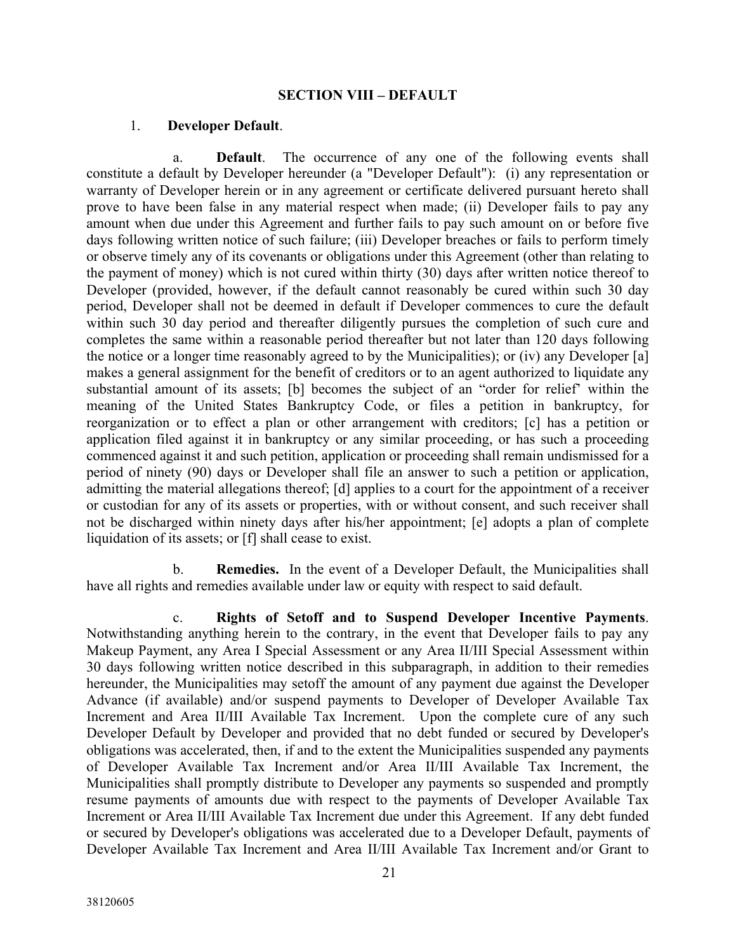#### **SECTION VIII – DEFAULT**

#### 1. **Developer Default**.

a. **Default**. The occurrence of any one of the following events shall constitute a default by Developer hereunder (a "Developer Default"): (i) any representation or warranty of Developer herein or in any agreement or certificate delivered pursuant hereto shall prove to have been false in any material respect when made; (ii) Developer fails to pay any amount when due under this Agreement and further fails to pay such amount on or before five days following written notice of such failure; (iii) Developer breaches or fails to perform timely or observe timely any of its covenants or obligations under this Agreement (other than relating to the payment of money) which is not cured within thirty (30) days after written notice thereof to Developer (provided, however, if the default cannot reasonably be cured within such 30 day period, Developer shall not be deemed in default if Developer commences to cure the default within such 30 day period and thereafter diligently pursues the completion of such cure and completes the same within a reasonable period thereafter but not later than 120 days following the notice or a longer time reasonably agreed to by the Municipalities); or (iv) any Developer [a] makes a general assignment for the benefit of creditors or to an agent authorized to liquidate any substantial amount of its assets; [b] becomes the subject of an "order for relief' within the meaning of the United States Bankruptcy Code, or files a petition in bankruptcy, for reorganization or to effect a plan or other arrangement with creditors; [c] has a petition or application filed against it in bankruptcy or any similar proceeding, or has such a proceeding commenced against it and such petition, application or proceeding shall remain undismissed for a period of ninety (90) days or Developer shall file an answer to such a petition or application, admitting the material allegations thereof; [d] applies to a court for the appointment of a receiver or custodian for any of its assets or properties, with or without consent, and such receiver shall not be discharged within ninety days after his/her appointment; [e] adopts a plan of complete liquidation of its assets; or [f] shall cease to exist.

b. **Remedies.** In the event of a Developer Default, the Municipalities shall have all rights and remedies available under law or equity with respect to said default.

c. **Rights of Setoff and to Suspend Developer Incentive Payments**. Notwithstanding anything herein to the contrary, in the event that Developer fails to pay any Makeup Payment, any Area I Special Assessment or any Area II/III Special Assessment within 30 days following written notice described in this subparagraph, in addition to their remedies hereunder, the Municipalities may setoff the amount of any payment due against the Developer Advance (if available) and/or suspend payments to Developer of Developer Available Tax Increment and Area II/III Available Tax Increment. Upon the complete cure of any such Developer Default by Developer and provided that no debt funded or secured by Developer's obligations was accelerated, then, if and to the extent the Municipalities suspended any payments of Developer Available Tax Increment and/or Area II/III Available Tax Increment, the Municipalities shall promptly distribute to Developer any payments so suspended and promptly resume payments of amounts due with respect to the payments of Developer Available Tax Increment or Area II/III Available Tax Increment due under this Agreement. If any debt funded or secured by Developer's obligations was accelerated due to a Developer Default, payments of Developer Available Tax Increment and Area II/III Available Tax Increment and/or Grant to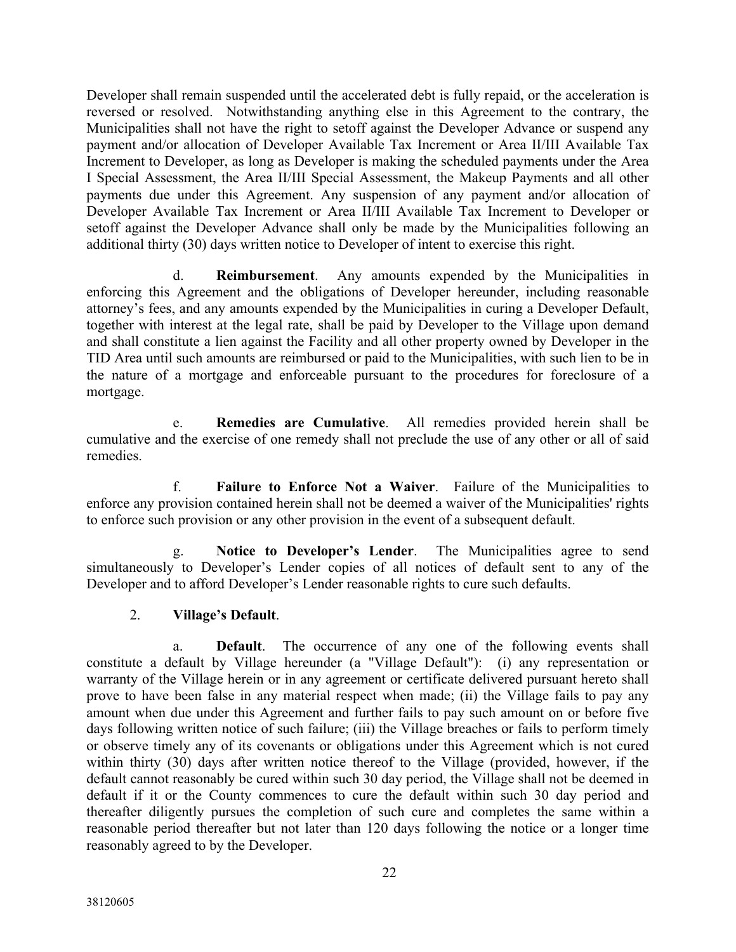Developer shall remain suspended until the accelerated debt is fully repaid, or the acceleration is reversed or resolved. Notwithstanding anything else in this Agreement to the contrary, the Municipalities shall not have the right to setoff against the Developer Advance or suspend any payment and/or allocation of Developer Available Tax Increment or Area II/III Available Tax Increment to Developer, as long as Developer is making the scheduled payments under the Area I Special Assessment, the Area II/III Special Assessment, the Makeup Payments and all other payments due under this Agreement. Any suspension of any payment and/or allocation of Developer Available Tax Increment or Area II/III Available Tax Increment to Developer or setoff against the Developer Advance shall only be made by the Municipalities following an additional thirty (30) days written notice to Developer of intent to exercise this right.

d. **Reimbursement**. Any amounts expended by the Municipalities in enforcing this Agreement and the obligations of Developer hereunder, including reasonable attorney's fees, and any amounts expended by the Municipalities in curing a Developer Default, together with interest at the legal rate, shall be paid by Developer to the Village upon demand and shall constitute a lien against the Facility and all other property owned by Developer in the TID Area until such amounts are reimbursed or paid to the Municipalities, with such lien to be in the nature of a mortgage and enforceable pursuant to the procedures for foreclosure of a mortgage.

e. **Remedies are Cumulative**. All remedies provided herein shall be cumulative and the exercise of one remedy shall not preclude the use of any other or all of said remedies.

f. **Failure to Enforce Not a Waiver**. Failure of the Municipalities to enforce any provision contained herein shall not be deemed a waiver of the Municipalities' rights to enforce such provision or any other provision in the event of a subsequent default.

g. **Notice to Developer's Lender**. The Municipalities agree to send simultaneously to Developer's Lender copies of all notices of default sent to any of the Developer and to afford Developer's Lender reasonable rights to cure such defaults.

## 2. **Village's Default**.

a. **Default**. The occurrence of any one of the following events shall constitute a default by Village hereunder (a "Village Default"): (i) any representation or warranty of the Village herein or in any agreement or certificate delivered pursuant hereto shall prove to have been false in any material respect when made; (ii) the Village fails to pay any amount when due under this Agreement and further fails to pay such amount on or before five days following written notice of such failure; (iii) the Village breaches or fails to perform timely or observe timely any of its covenants or obligations under this Agreement which is not cured within thirty (30) days after written notice thereof to the Village (provided, however, if the default cannot reasonably be cured within such 30 day period, the Village shall not be deemed in default if it or the County commences to cure the default within such 30 day period and thereafter diligently pursues the completion of such cure and completes the same within a reasonable period thereafter but not later than 120 days following the notice or a longer time reasonably agreed to by the Developer.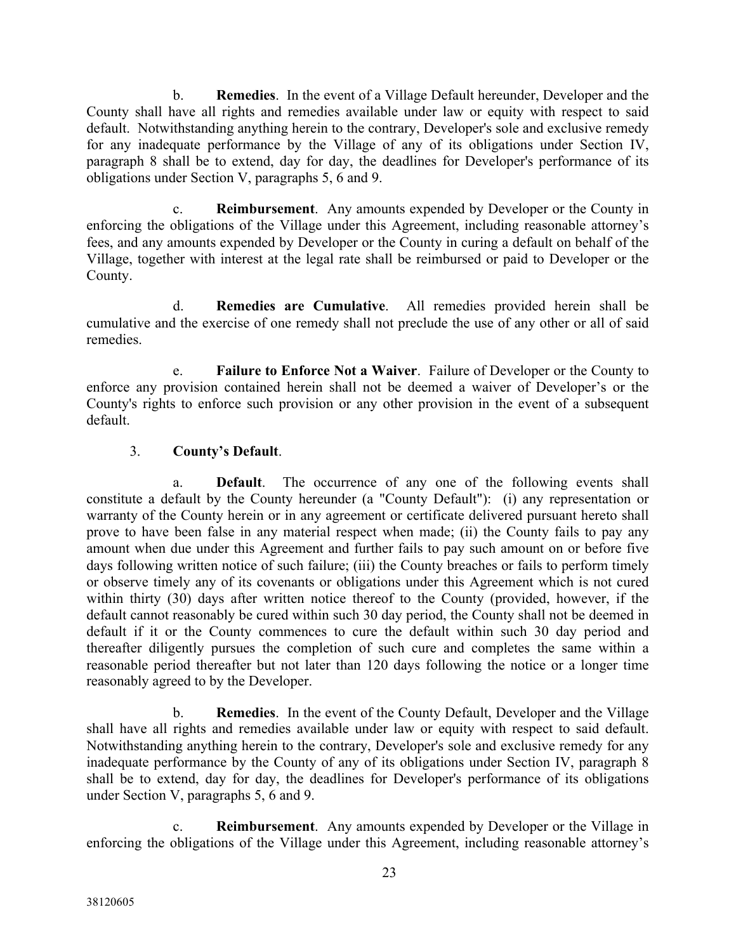b. **Remedies**. In the event of a Village Default hereunder, Developer and the County shall have all rights and remedies available under law or equity with respect to said default. Notwithstanding anything herein to the contrary, Developer's sole and exclusive remedy for any inadequate performance by the Village of any of its obligations under Section IV, paragraph 8 shall be to extend, day for day, the deadlines for Developer's performance of its obligations under Section V, paragraphs 5, 6 and 9.

c. **Reimbursement**. Any amounts expended by Developer or the County in enforcing the obligations of the Village under this Agreement, including reasonable attorney's fees, and any amounts expended by Developer or the County in curing a default on behalf of the Village, together with interest at the legal rate shall be reimbursed or paid to Developer or the County.

d. **Remedies are Cumulative**. All remedies provided herein shall be cumulative and the exercise of one remedy shall not preclude the use of any other or all of said remedies.

e. **Failure to Enforce Not a Waiver**. Failure of Developer or the County to enforce any provision contained herein shall not be deemed a waiver of Developer's or the County's rights to enforce such provision or any other provision in the event of a subsequent default.

## 3. **County's Default**.

a. **Default**. The occurrence of any one of the following events shall constitute a default by the County hereunder (a "County Default"): (i) any representation or warranty of the County herein or in any agreement or certificate delivered pursuant hereto shall prove to have been false in any material respect when made; (ii) the County fails to pay any amount when due under this Agreement and further fails to pay such amount on or before five days following written notice of such failure; (iii) the County breaches or fails to perform timely or observe timely any of its covenants or obligations under this Agreement which is not cured within thirty (30) days after written notice thereof to the County (provided, however, if the default cannot reasonably be cured within such 30 day period, the County shall not be deemed in default if it or the County commences to cure the default within such 30 day period and thereafter diligently pursues the completion of such cure and completes the same within a reasonable period thereafter but not later than 120 days following the notice or a longer time reasonably agreed to by the Developer.

b. **Remedies**. In the event of the County Default, Developer and the Village shall have all rights and remedies available under law or equity with respect to said default. Notwithstanding anything herein to the contrary, Developer's sole and exclusive remedy for any inadequate performance by the County of any of its obligations under Section IV, paragraph 8 shall be to extend, day for day, the deadlines for Developer's performance of its obligations under Section V, paragraphs 5, 6 and 9.

c. **Reimbursement**. Any amounts expended by Developer or the Village in enforcing the obligations of the Village under this Agreement, including reasonable attorney's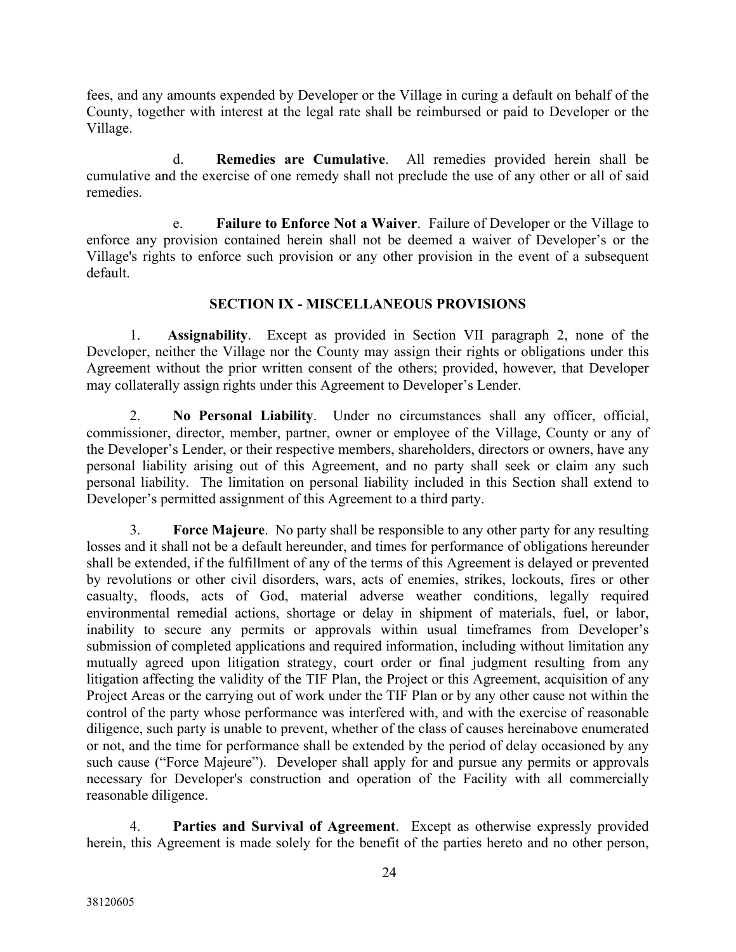fees, and any amounts expended by Developer or the Village in curing a default on behalf of the County, together with interest at the legal rate shall be reimbursed or paid to Developer or the Village.

d. **Remedies are Cumulative**. All remedies provided herein shall be cumulative and the exercise of one remedy shall not preclude the use of any other or all of said remedies.

e. **Failure to Enforce Not a Waiver**. Failure of Developer or the Village to enforce any provision contained herein shall not be deemed a waiver of Developer's or the Village's rights to enforce such provision or any other provision in the event of a subsequent default.

### **SECTION IX - MISCELLANEOUS PROVISIONS**

1. **Assignability**. Except as provided in Section VII paragraph 2, none of the Developer, neither the Village nor the County may assign their rights or obligations under this Agreement without the prior written consent of the others; provided, however, that Developer may collaterally assign rights under this Agreement to Developer's Lender.

2. **No Personal Liability**. Under no circumstances shall any officer, official, commissioner, director, member, partner, owner or employee of the Village, County or any of the Developer's Lender, or their respective members, shareholders, directors or owners, have any personal liability arising out of this Agreement, and no party shall seek or claim any such personal liability. The limitation on personal liability included in this Section shall extend to Developer's permitted assignment of this Agreement to a third party.

3. **Force Majeure**. No party shall be responsible to any other party for any resulting losses and it shall not be a default hereunder, and times for performance of obligations hereunder shall be extended, if the fulfillment of any of the terms of this Agreement is delayed or prevented by revolutions or other civil disorders, wars, acts of enemies, strikes, lockouts, fires or other casualty, floods, acts of God, material adverse weather conditions, legally required environmental remedial actions, shortage or delay in shipment of materials, fuel, or labor, inability to secure any permits or approvals within usual timeframes from Developer's submission of completed applications and required information, including without limitation any mutually agreed upon litigation strategy, court order or final judgment resulting from any litigation affecting the validity of the TIF Plan, the Project or this Agreement, acquisition of any Project Areas or the carrying out of work under the TIF Plan or by any other cause not within the control of the party whose performance was interfered with, and with the exercise of reasonable diligence, such party is unable to prevent, whether of the class of causes hereinabove enumerated or not, and the time for performance shall be extended by the period of delay occasioned by any such cause ("Force Majeure"). Developer shall apply for and pursue any permits or approvals necessary for Developer's construction and operation of the Facility with all commercially reasonable diligence.

4. **Parties and Survival of Agreement**. Except as otherwise expressly provided herein, this Agreement is made solely for the benefit of the parties hereto and no other person,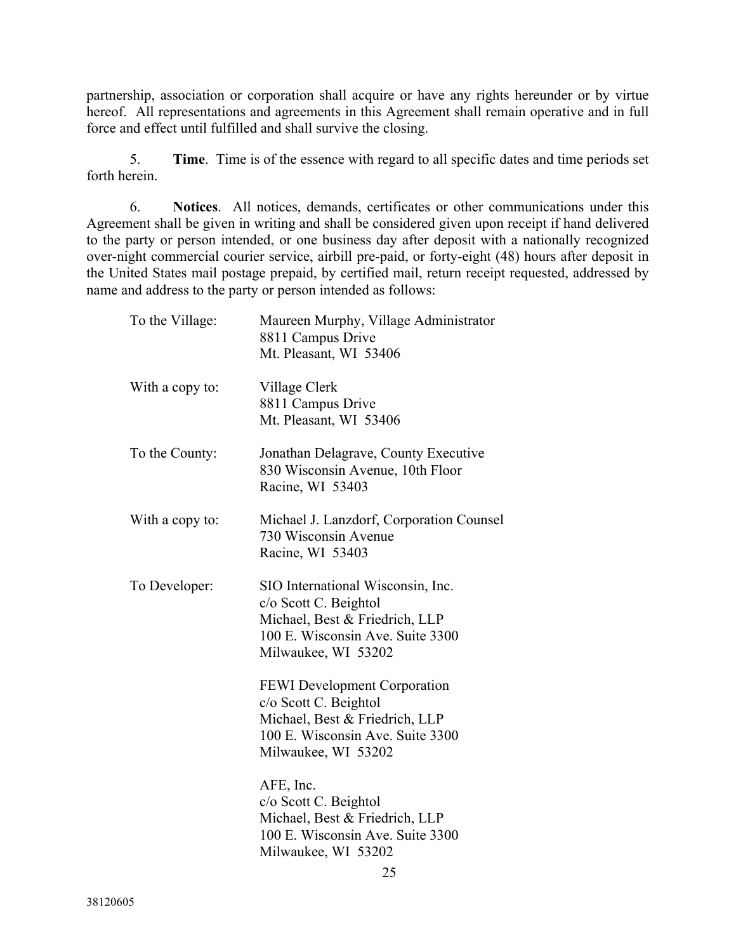partnership, association or corporation shall acquire or have any rights hereunder or by virtue hereof. All representations and agreements in this Agreement shall remain operative and in full force and effect until fulfilled and shall survive the closing.

5. **Time**. Time is of the essence with regard to all specific dates and time periods set forth herein.

6. **Notices**. All notices, demands, certificates or other communications under this Agreement shall be given in writing and shall be considered given upon receipt if hand delivered to the party or person intended, or one business day after deposit with a nationally recognized over-night commercial courier service, airbill pre-paid, or forty-eight (48) hours after deposit in the United States mail postage prepaid, by certified mail, return receipt requested, addressed by name and address to the party or person intended as follows:

| To the Village: | Maureen Murphy, Village Administrator<br>8811 Campus Drive<br>Mt. Pleasant, WI 53406                                                                      |
|-----------------|-----------------------------------------------------------------------------------------------------------------------------------------------------------|
| With a copy to: | Village Clerk<br>8811 Campus Drive<br>Mt. Pleasant, WI 53406                                                                                              |
| To the County:  | Jonathan Delagrave, County Executive<br>830 Wisconsin Avenue, 10th Floor<br>Racine, WI 53403                                                              |
| With a copy to: | Michael J. Lanzdorf, Corporation Counsel<br>730 Wisconsin Avenue<br>Racine, WI 53403                                                                      |
| To Developer:   | SIO International Wisconsin, Inc.<br>c/o Scott C. Beightol<br>Michael, Best & Friedrich, LLP<br>100 E. Wisconsin Ave. Suite 3300<br>Milwaukee, WI 53202   |
|                 | <b>FEWI</b> Development Corporation<br>c/o Scott C. Beightol<br>Michael, Best & Friedrich, LLP<br>100 E. Wisconsin Ave. Suite 3300<br>Milwaukee, WI 53202 |
|                 | AFE, Inc.<br>c/o Scott C. Beightol<br>Michael, Best & Friedrich, LLP<br>100 E. Wisconsin Ave. Suite 3300<br>Milwaukee, WI 53202<br>25                     |
|                 |                                                                                                                                                           |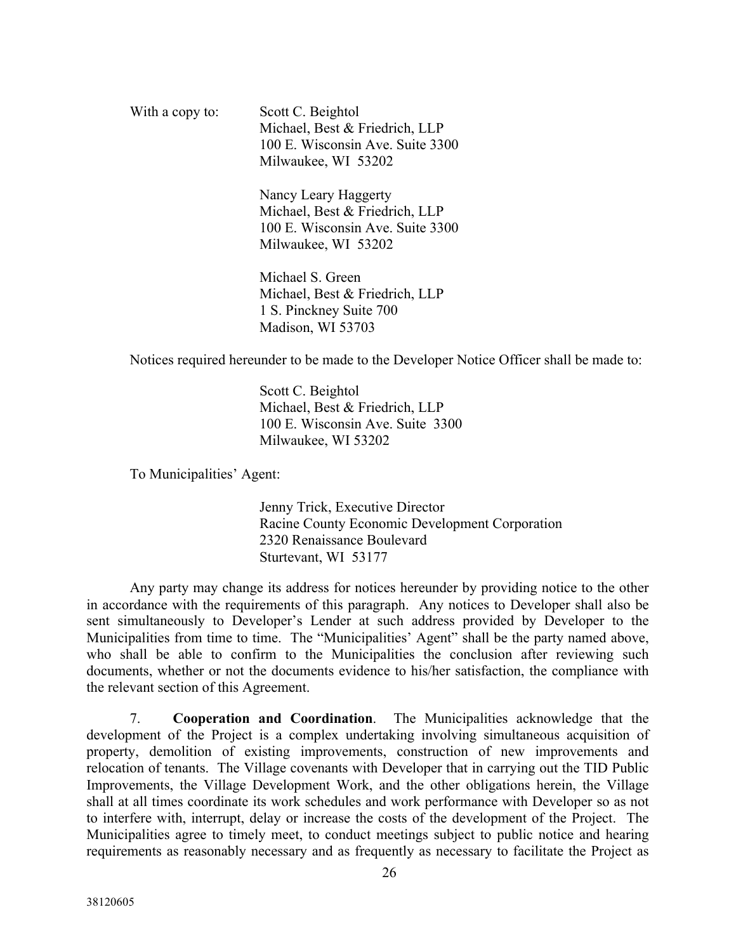| With a copy to: | Scott C. Beightol                |
|-----------------|----------------------------------|
|                 | Michael, Best & Friedrich, LLP   |
|                 | 100 E. Wisconsin Ave. Suite 3300 |
|                 | Milwaukee, WI 53202              |

Nancy Leary Haggerty Michael, Best & Friedrich, LLP 100 E. Wisconsin Ave. Suite 3300 Milwaukee, WI 53202

Michael S. Green Michael, Best & Friedrich, LLP 1 S. Pinckney Suite 700 Madison, WI 53703

Notices required hereunder to be made to the Developer Notice Officer shall be made to:

Scott C. Beightol Michael, Best & Friedrich, LLP 100 E. Wisconsin Ave. Suite 3300 Milwaukee, WI 53202

To Municipalities' Agent:

Jenny Trick, Executive Director Racine County Economic Development Corporation 2320 Renaissance Boulevard Sturtevant, WI 53177

Any party may change its address for notices hereunder by providing notice to the other in accordance with the requirements of this paragraph. Any notices to Developer shall also be sent simultaneously to Developer's Lender at such address provided by Developer to the Municipalities from time to time. The "Municipalities' Agent" shall be the party named above, who shall be able to confirm to the Municipalities the conclusion after reviewing such documents, whether or not the documents evidence to his/her satisfaction, the compliance with the relevant section of this Agreement.

7. **Cooperation and Coordination**. The Municipalities acknowledge that the development of the Project is a complex undertaking involving simultaneous acquisition of property, demolition of existing improvements, construction of new improvements and relocation of tenants. The Village covenants with Developer that in carrying out the TID Public Improvements, the Village Development Work, and the other obligations herein, the Village shall at all times coordinate its work schedules and work performance with Developer so as not to interfere with, interrupt, delay or increase the costs of the development of the Project. The Municipalities agree to timely meet, to conduct meetings subject to public notice and hearing requirements as reasonably necessary and as frequently as necessary to facilitate the Project as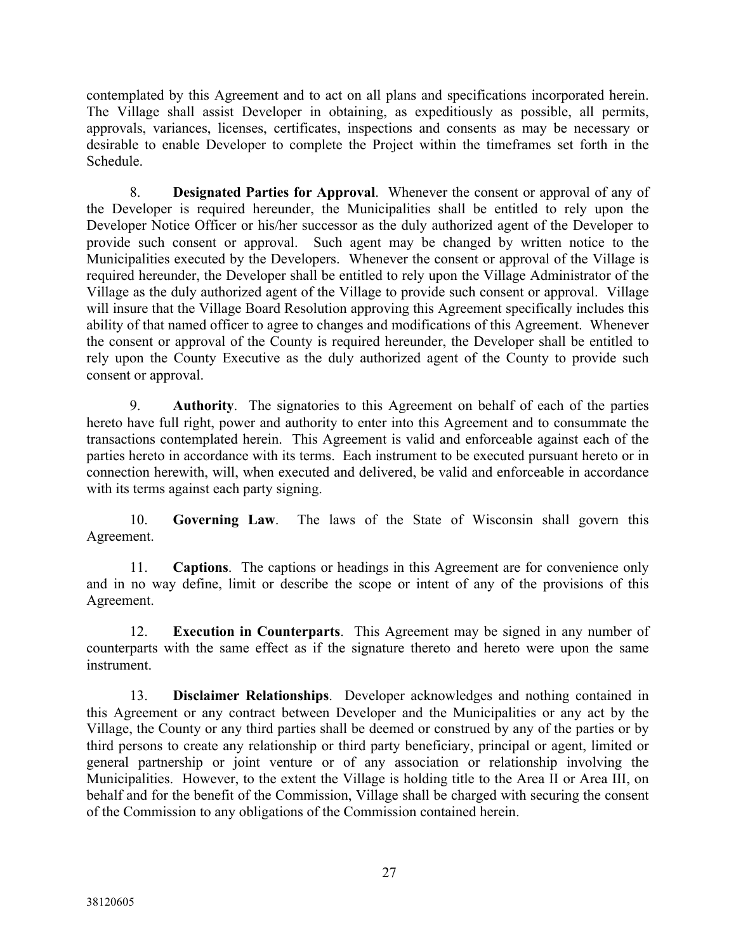contemplated by this Agreement and to act on all plans and specifications incorporated herein. The Village shall assist Developer in obtaining, as expeditiously as possible, all permits, approvals, variances, licenses, certificates, inspections and consents as may be necessary or desirable to enable Developer to complete the Project within the timeframes set forth in the Schedule.

8. **Designated Parties for Approval**. Whenever the consent or approval of any of the Developer is required hereunder, the Municipalities shall be entitled to rely upon the Developer Notice Officer or his/her successor as the duly authorized agent of the Developer to provide such consent or approval. Such agent may be changed by written notice to the Municipalities executed by the Developers. Whenever the consent or approval of the Village is required hereunder, the Developer shall be entitled to rely upon the Village Administrator of the Village as the duly authorized agent of the Village to provide such consent or approval. Village will insure that the Village Board Resolution approving this Agreement specifically includes this ability of that named officer to agree to changes and modifications of this Agreement. Whenever the consent or approval of the County is required hereunder, the Developer shall be entitled to rely upon the County Executive as the duly authorized agent of the County to provide such consent or approval.

9. **Authority**. The signatories to this Agreement on behalf of each of the parties hereto have full right, power and authority to enter into this Agreement and to consummate the transactions contemplated herein. This Agreement is valid and enforceable against each of the parties hereto in accordance with its terms. Each instrument to be executed pursuant hereto or in connection herewith, will, when executed and delivered, be valid and enforceable in accordance with its terms against each party signing.

10. **Governing Law**. The laws of the State of Wisconsin shall govern this Agreement.

11. **Captions**. The captions or headings in this Agreement are for convenience only and in no way define, limit or describe the scope or intent of any of the provisions of this Agreement.

12. **Execution in Counterparts**. This Agreement may be signed in any number of counterparts with the same effect as if the signature thereto and hereto were upon the same instrument.

13. **Disclaimer Relationships**. Developer acknowledges and nothing contained in this Agreement or any contract between Developer and the Municipalities or any act by the Village, the County or any third parties shall be deemed or construed by any of the parties or by third persons to create any relationship or third party beneficiary, principal or agent, limited or general partnership or joint venture or of any association or relationship involving the Municipalities. However, to the extent the Village is holding title to the Area II or Area III, on behalf and for the benefit of the Commission, Village shall be charged with securing the consent of the Commission to any obligations of the Commission contained herein.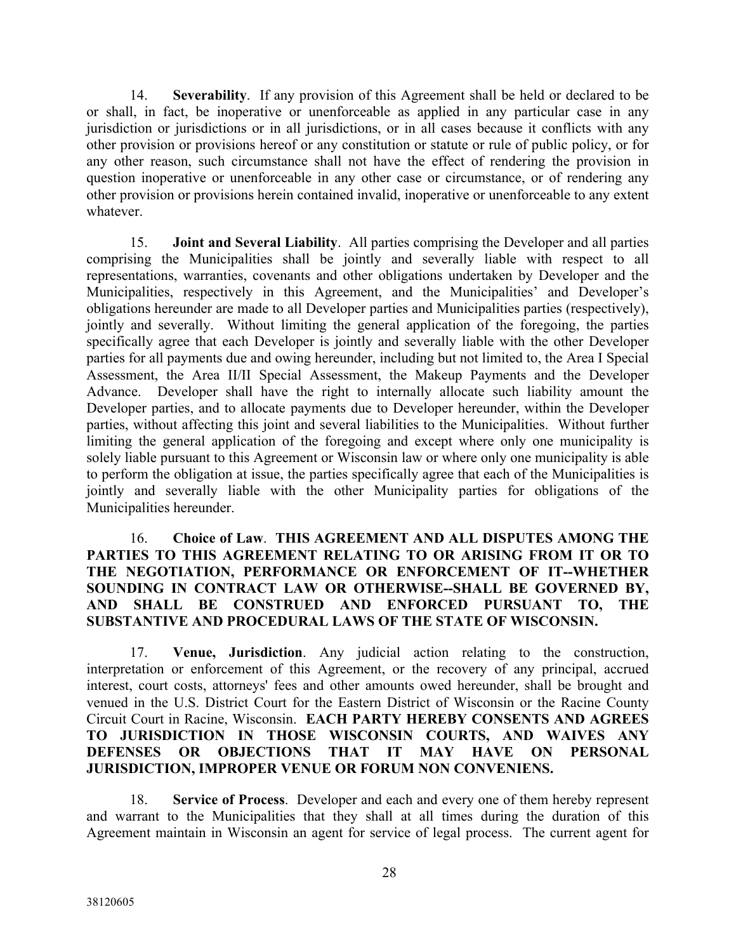14. **Severability**. If any provision of this Agreement shall be held or declared to be or shall, in fact, be inoperative or unenforceable as applied in any particular case in any jurisdiction or jurisdictions or in all jurisdictions, or in all cases because it conflicts with any other provision or provisions hereof or any constitution or statute or rule of public policy, or for any other reason, such circumstance shall not have the effect of rendering the provision in question inoperative or unenforceable in any other case or circumstance, or of rendering any other provision or provisions herein contained invalid, inoperative or unenforceable to any extent whatever.

15. **Joint and Several Liability**. All parties comprising the Developer and all parties comprising the Municipalities shall be jointly and severally liable with respect to all representations, warranties, covenants and other obligations undertaken by Developer and the Municipalities, respectively in this Agreement, and the Municipalities' and Developer's obligations hereunder are made to all Developer parties and Municipalities parties (respectively), jointly and severally. Without limiting the general application of the foregoing, the parties specifically agree that each Developer is jointly and severally liable with the other Developer parties for all payments due and owing hereunder, including but not limited to, the Area I Special Assessment, the Area II/II Special Assessment, the Makeup Payments and the Developer Advance. Developer shall have the right to internally allocate such liability amount the Developer parties, and to allocate payments due to Developer hereunder, within the Developer parties, without affecting this joint and several liabilities to the Municipalities. Without further limiting the general application of the foregoing and except where only one municipality is solely liable pursuant to this Agreement or Wisconsin law or where only one municipality is able to perform the obligation at issue, the parties specifically agree that each of the Municipalities is jointly and severally liable with the other Municipality parties for obligations of the Municipalities hereunder.

#### 16. **Choice of Law**. **THIS AGREEMENT AND ALL DISPUTES AMONG THE PARTIES TO THIS AGREEMENT RELATING TO OR ARISING FROM IT OR TO THE NEGOTIATION, PERFORMANCE OR ENFORCEMENT OF IT--WHETHER SOUNDING IN CONTRACT LAW OR OTHERWISE--SHALL BE GOVERNED BY, AND SHALL BE CONSTRUED AND ENFORCED PURSUANT TO, THE SUBSTANTIVE AND PROCEDURAL LAWS OF THE STATE OF WISCONSIN.**

17. **Venue, Jurisdiction**. Any judicial action relating to the construction, interpretation or enforcement of this Agreement, or the recovery of any principal, accrued interest, court costs, attorneys' fees and other amounts owed hereunder, shall be brought and venued in the U.S. District Court for the Eastern District of Wisconsin or the Racine County Circuit Court in Racine, Wisconsin. **EACH PARTY HEREBY CONSENTS AND AGREES TO JURISDICTION IN THOSE WISCONSIN COURTS, AND WAIVES ANY DEFENSES OR OBJECTIONS THAT IT MAY HAVE ON PERSONAL JURISDICTION, IMPROPER VENUE OR FORUM NON CONVENIENS.**

18. **Service of Process**. Developer and each and every one of them hereby represent and warrant to the Municipalities that they shall at all times during the duration of this Agreement maintain in Wisconsin an agent for service of legal process. The current agent for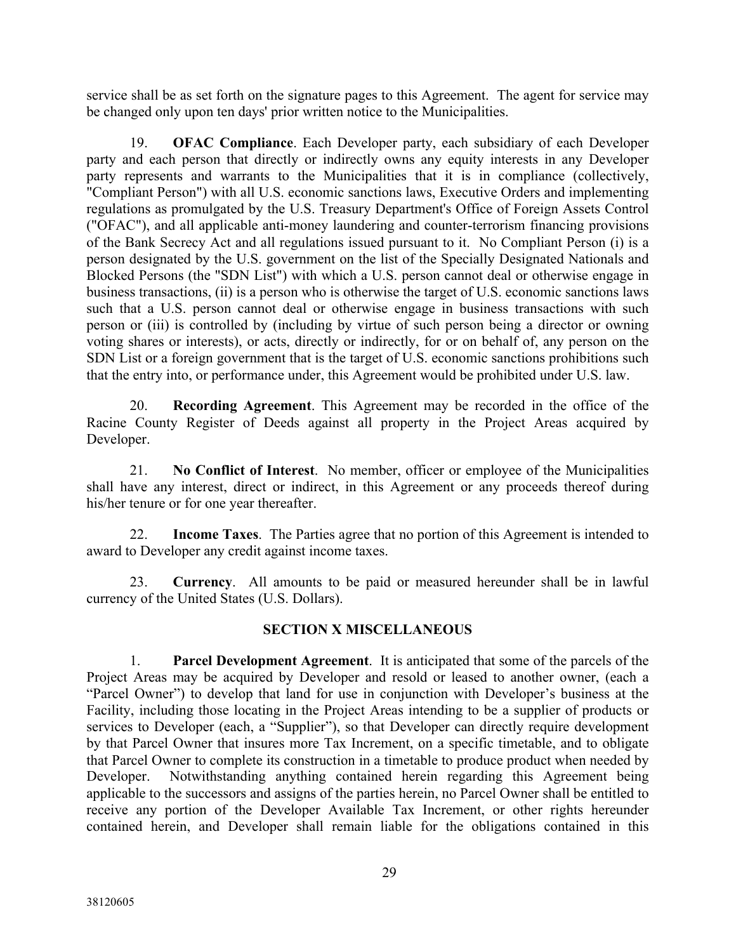service shall be as set forth on the signature pages to this Agreement. The agent for service may be changed only upon ten days' prior written notice to the Municipalities.

19. **OFAC Compliance**. Each Developer party, each subsidiary of each Developer party and each person that directly or indirectly owns any equity interests in any Developer party represents and warrants to the Municipalities that it is in compliance (collectively, "Compliant Person") with all U.S. economic sanctions laws, Executive Orders and implementing regulations as promulgated by the U.S. Treasury Department's Office of Foreign Assets Control ("OFAC"), and all applicable anti-money laundering and counter-terrorism financing provisions of the Bank Secrecy Act and all regulations issued pursuant to it. No Compliant Person (i) is a person designated by the U.S. government on the list of the Specially Designated Nationals and Blocked Persons (the "SDN List") with which a U.S. person cannot deal or otherwise engage in business transactions, (ii) is a person who is otherwise the target of U.S. economic sanctions laws such that a U.S. person cannot deal or otherwise engage in business transactions with such person or (iii) is controlled by (including by virtue of such person being a director or owning voting shares or interests), or acts, directly or indirectly, for or on behalf of, any person on the SDN List or a foreign government that is the target of U.S. economic sanctions prohibitions such that the entry into, or performance under, this Agreement would be prohibited under U.S. law.

20. **Recording Agreement**. This Agreement may be recorded in the office of the Racine County Register of Deeds against all property in the Project Areas acquired by Developer.

21. **No Conflict of Interest**. No member, officer or employee of the Municipalities shall have any interest, direct or indirect, in this Agreement or any proceeds thereof during his/her tenure or for one year thereafter.

22. **Income Taxes**. The Parties agree that no portion of this Agreement is intended to award to Developer any credit against income taxes.

23. **Currency**. All amounts to be paid or measured hereunder shall be in lawful currency of the United States (U.S. Dollars).

### **SECTION X MISCELLANEOUS**

1. **Parcel Development Agreement**. It is anticipated that some of the parcels of the Project Areas may be acquired by Developer and resold or leased to another owner, (each a "Parcel Owner") to develop that land for use in conjunction with Developer's business at the Facility, including those locating in the Project Areas intending to be a supplier of products or services to Developer (each, a "Supplier"), so that Developer can directly require development by that Parcel Owner that insures more Tax Increment, on a specific timetable, and to obligate that Parcel Owner to complete its construction in a timetable to produce product when needed by Developer. Notwithstanding anything contained herein regarding this Agreement being applicable to the successors and assigns of the parties herein, no Parcel Owner shall be entitled to receive any portion of the Developer Available Tax Increment, or other rights hereunder contained herein, and Developer shall remain liable for the obligations contained in this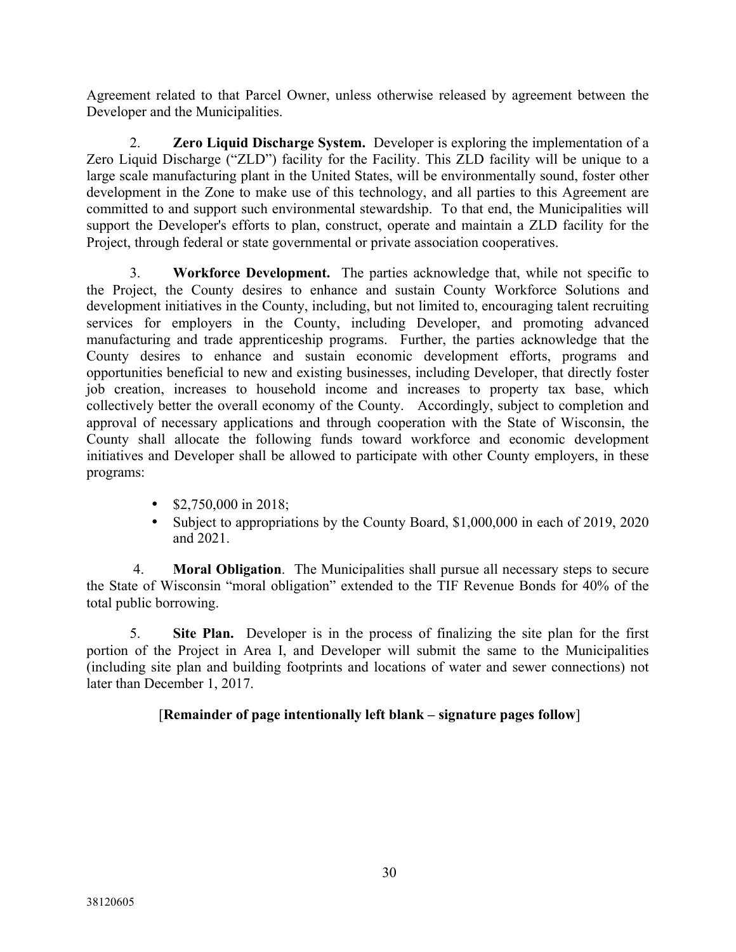Agreement related to that Parcel Owner, unless otherwise released by agreement between the Developer and the Municipalities.

2. **Zero Liquid Discharge System.** Developer is exploring the implementation of a Zero Liquid Discharge ("ZLD") facility for the Facility. This ZLD facility will be unique to a large scale manufacturing plant in the United States, will be environmentally sound, foster other development in the Zone to make use of this technology, and all parties to this Agreement are committed to and support such environmental stewardship. To that end, the Municipalities will support the Developer's efforts to plan, construct, operate and maintain a ZLD facility for the Project, through federal or state governmental or private association cooperatives.

3. **Workforce Development.** The parties acknowledge that, while not specific to the Project, the County desires to enhance and sustain County Workforce Solutions and development initiatives in the County, including, but not limited to, encouraging talent recruiting services for employers in the County, including Developer, and promoting advanced manufacturing and trade apprenticeship programs. Further, the parties acknowledge that the County desires to enhance and sustain economic development efforts, programs and opportunities beneficial to new and existing businesses, including Developer, that directly foster job creation, increases to household income and increases to property tax base, which collectively better the overall economy of the County. Accordingly, subject to completion and approval of necessary applications and through cooperation with the State of Wisconsin, the County shall allocate the following funds toward workforce and economic development initiatives and Developer shall be allowed to participate with other County employers, in these programs:

- $$2,750,000$  in 2018;
- Subject to appropriations by the County Board, \$1,000,000 in each of 2019, 2020 and 2021.

4. **Moral Obligation**. The Municipalities shall pursue all necessary steps to secure the State of Wisconsin "moral obligation" extended to the TIF Revenue Bonds for 40% of the total public borrowing.

5. **Site Plan.** Developer is in the process of finalizing the site plan for the first portion of the Project in Area I, and Developer will submit the same to the Municipalities (including site plan and building footprints and locations of water and sewer connections) not later than December 1, 2017.

## [**Remainder of page intentionally left blank – signature pages follow**]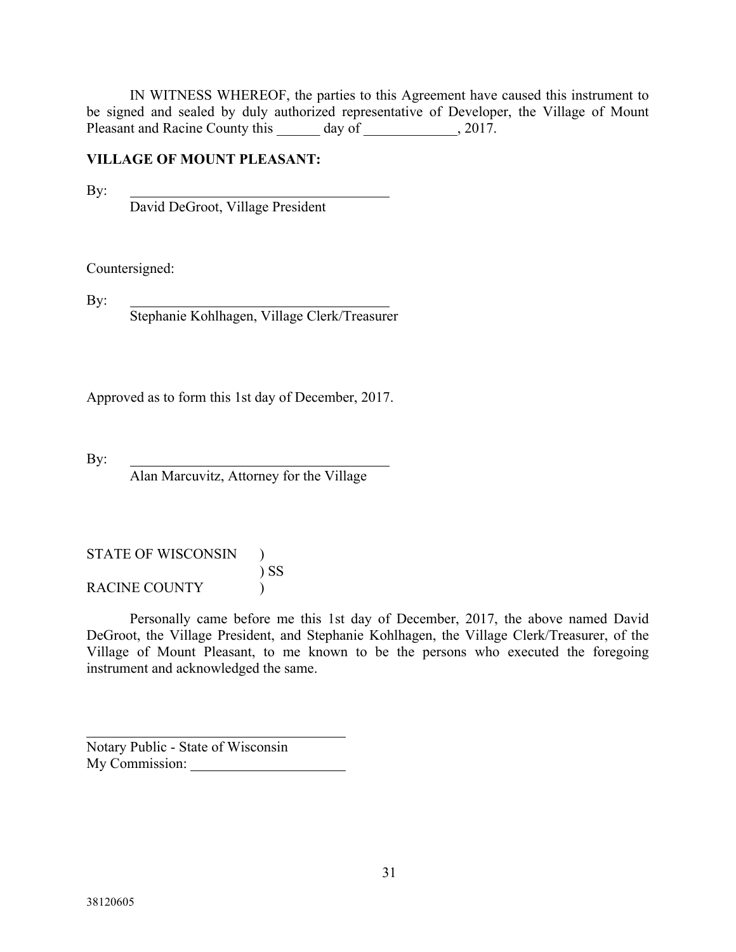IN WITNESS WHEREOF, the parties to this Agreement have caused this instrument to be signed and sealed by duly authorized representative of Developer, the Village of Mount Pleasant and Racine County this \_\_\_\_\_\_ day of \_\_\_\_\_\_\_\_\_\_\_, 2017.

#### **VILLAGE OF MOUNT PLEASANT:**

By:

David DeGroot, Village President

Countersigned:

By:

Stephanie Kohlhagen, Village Clerk/Treasurer

Approved as to form this 1st day of December, 2017.

By:

Alan Marcuvitz, Attorney for the Village

STATE OF WISCONSIN ) ) SS RACINE COUNTY  $\qquad$  )

Personally came before me this 1st day of December, 2017, the above named David DeGroot, the Village President, and Stephanie Kohlhagen, the Village Clerk/Treasurer, of the Village of Mount Pleasant, to me known to be the persons who executed the foregoing instrument and acknowledged the same.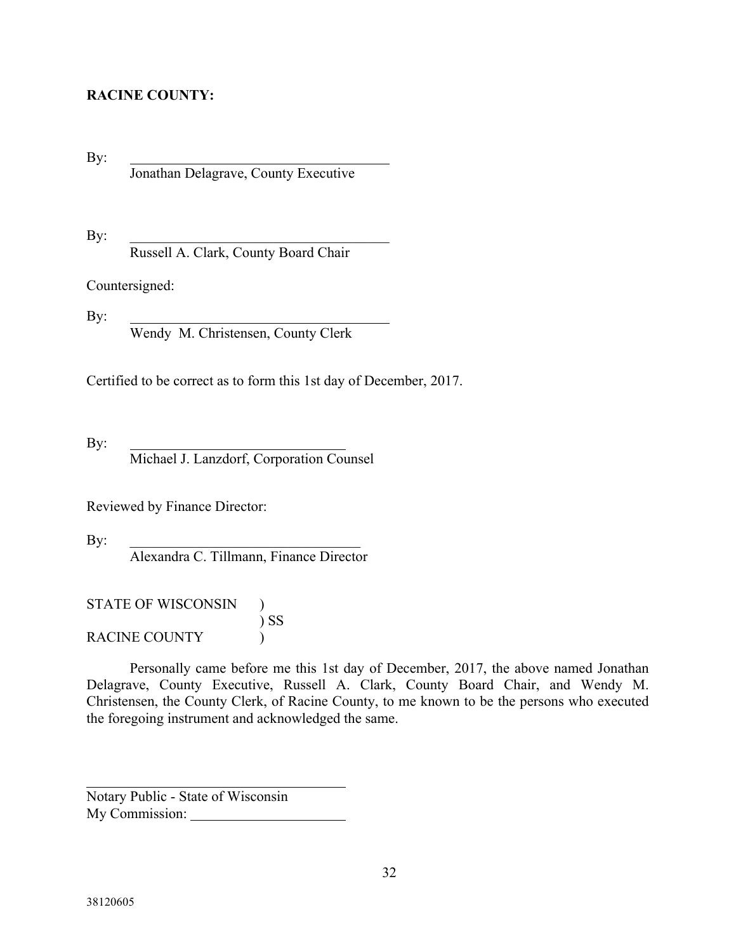## **RACINE COUNTY:**

By: Jonathan Delagrave, County Executive

 $\mathbf{By:}$ Russell A. Clark, County Board Chair

Countersigned:

By:

Wendy M. Christensen, County Clerk

Certified to be correct as to form this 1st day of December, 2017.

By:

Michael J. Lanzdorf, Corporation Counsel

Reviewed by Finance Director:

By:  $\Box$ 

Alexandra C. Tillmann, Finance Director

STATE OF WISCONSIN ) ) SS RACINE COUNTY  $\qquad$ 

Personally came before me this 1st day of December, 2017, the above named Jonathan Delagrave, County Executive, Russell A. Clark, County Board Chair, and Wendy M. Christensen, the County Clerk, of Racine County, to me known to be the persons who executed the foregoing instrument and acknowledged the same.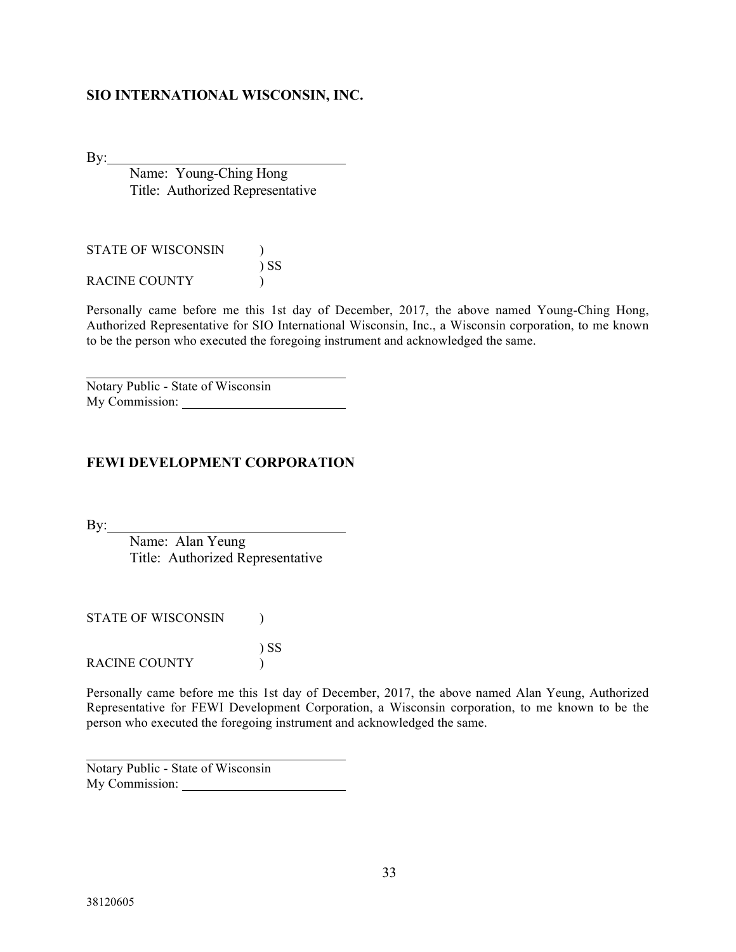#### **SIO INTERNATIONAL WISCONSIN, INC.**

 $By:$ 

Name: Young-Ching Hong Title: Authorized Representative

| <b>STATE OF WISCONSIN</b> |        |
|---------------------------|--------|
|                           | $\sum$ |
| RACINE COUNTY             |        |

Personally came before me this 1st day of December, 2017, the above named Young-Ching Hong, Authorized Representative for SIO International Wisconsin, Inc., a Wisconsin corporation, to me known to be the person who executed the foregoing instrument and acknowledged the same.

Notary Public - State of Wisconsin My Commission:

#### **FEWI DEVELOPMENT CORPORATION**

 $By:$ 

Name: Alan Yeung Title: Authorized Representative

) SS

STATE OF WISCONSIN  $\qquad$  )

RACINE COUNTY  $\qquad$  )

Personally came before me this 1st day of December, 2017, the above named Alan Yeung, Authorized Representative for FEWI Development Corporation, a Wisconsin corporation, to me known to be the person who executed the foregoing instrument and acknowledged the same.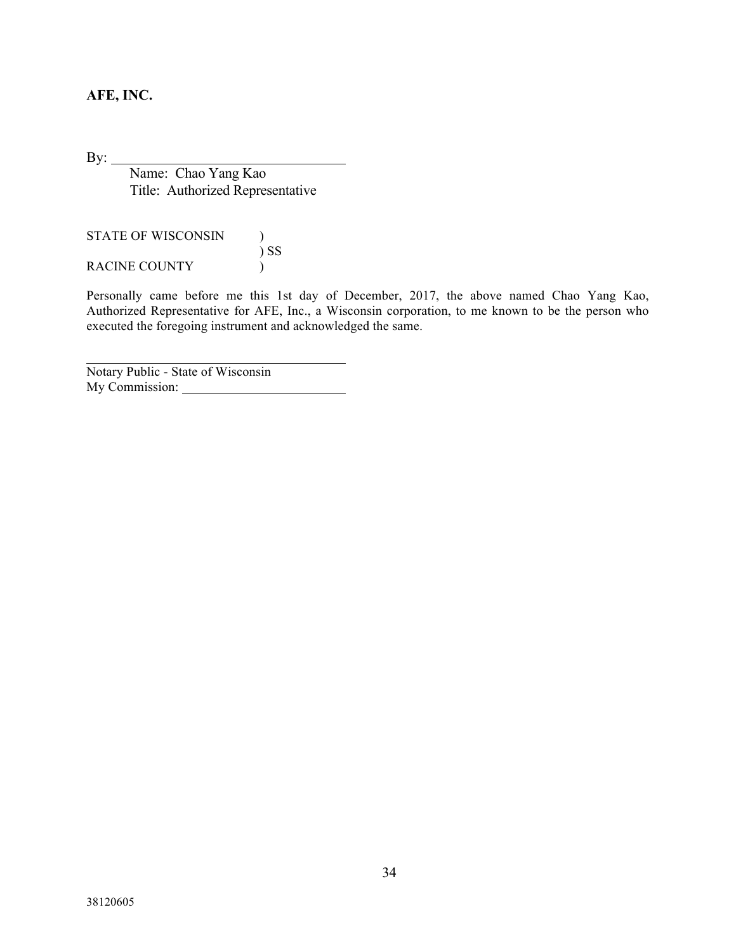## **AFE, INC.**

By:

Name: Chao Yang Kao Title: Authorized Representative

STATE OF WISCONSIN  $\qquad$  ) ) SS RACINE COUNTY  $\qquad$  )

Personally came before me this 1st day of December, 2017, the above named Chao Yang Kao, Authorized Representative for AFE, Inc., a Wisconsin corporation, to me known to be the person who executed the foregoing instrument and acknowledged the same.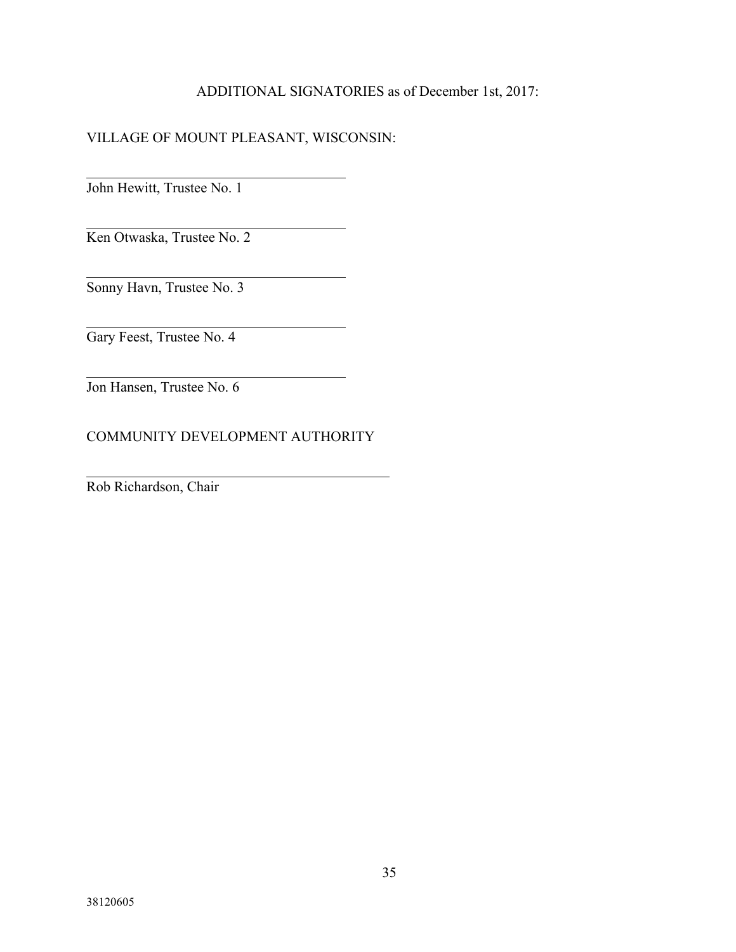### ADDITIONAL SIGNATORIES as of December 1st, 2017:

## VILLAGE OF MOUNT PLEASANT, WISCONSIN:

John Hewitt, Trustee No. 1

Ken Otwaska, Trustee No. 2

Sonny Havn, Trustee No. 3

Gary Feest, Trustee No. 4

Jon Hansen, Trustee No. 6

## COMMUNITY DEVELOPMENT AUTHORITY

Rob Richardson, Chair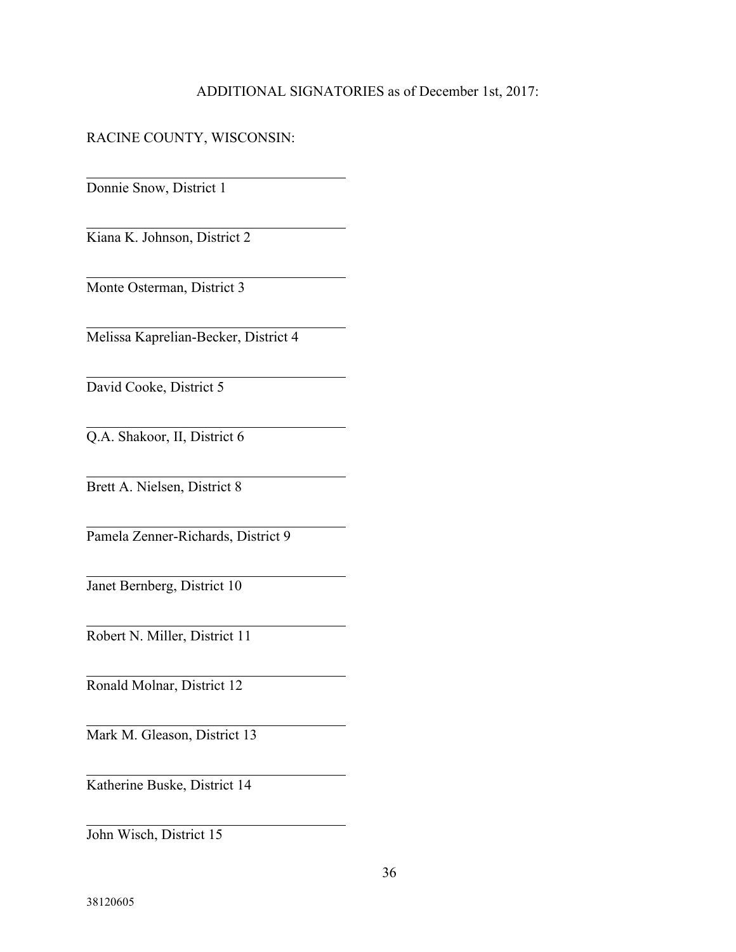### ADDITIONAL SIGNATORIES as of December 1st, 2017:

### RACINE COUNTY, WISCONSIN:

Donnie Snow, District 1

Kiana K. Johnson, District 2

Monte Osterman, District 3

Melissa Kaprelian-Becker, District 4

David Cooke, District 5

Q.A. Shakoor, II, District 6

Brett A. Nielsen, District 8

Pamela Zenner-Richards, District 9

Janet Bernberg, District 10

Robert N. Miller, District 11

Ronald Molnar, District 12

Mark M. Gleason, District 13

Katherine Buske, District 14

John Wisch, District 15